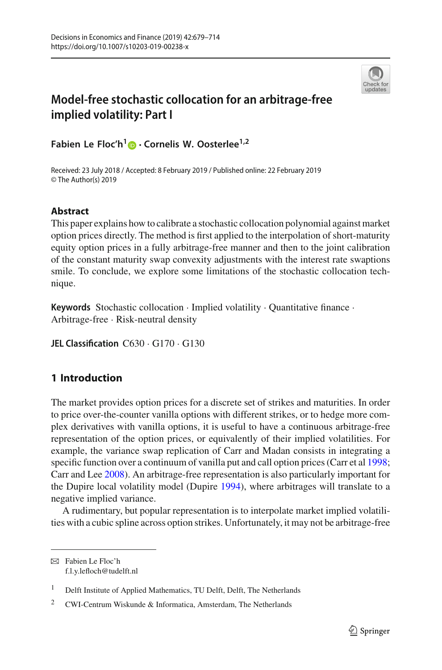

# **Model-free stochastic collocation for an arbitrage-free implied volatility: Part I**

**Fabien Le Floc'h[1](http://orcid.org/0000-0002-1142-8470) · Cornelis W. Oosterlee1,2**

Received: 23 July 2018 / Accepted: 8 February 2019 / Published online: 22 February 2019 © The Author(s) 2019

### **Abstract**

This paper explains how to calibrate a stochastic collocation polynomial against market option prices directly. The method is first applied to the interpolation of short-maturity equity option prices in a fully arbitrage-free manner and then to the joint calibration of the constant maturity swap convexity adjustments with the interest rate swaptions smile. To conclude, we explore some limitations of the stochastic collocation technique.

**Keywords** Stochastic collocation · Implied volatility · Quantitative finance · Arbitrage-free · Risk-neutral density

**JEL Classification** C630 · G170 · G130

# <span id="page-0-0"></span>**1 Introduction**

The market provides option prices for a discrete set of strikes and maturities. In order to price over-the-counter vanilla options with different strikes, or to hedge more complex derivatives with vanilla options, it is useful to have a continuous arbitrage-free representation of the option prices, or equivalently of their implied volatilities. For example, the variance swap replication of Carr and Madan consists in integrating a specific function over a continuum of vani[l](#page-34-0)la put and call option prices (Carr et al [1998](#page-34-0); Carr and Le[e](#page-34-1) [2008\)](#page-34-1). An arbitrage-free representation is also particularly important for the Dupire local volatility model (Dupir[e](#page-34-2) [1994](#page-34-2)), where arbitrages will translate to a negative implied variance.

A rudimentary, but popular representation is to interpolate market implied volatilities with a cubic spline across option strikes. Unfortunately, it may not be arbitrage-free

 $\boxtimes$  Fabien Le Floc'h f.l.y.lefloch@tudelft.nl

<sup>&</sup>lt;sup>1</sup> Delft Institute of Applied Mathematics, TU Delft, Delft, The Netherlands

<sup>2</sup> CWI-Centrum Wiskunde & Informatica, Amsterdam, The Netherlands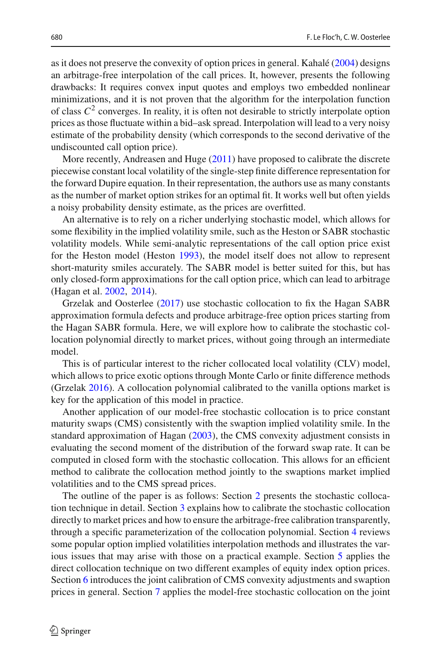as it does not preserve the convexity of option prices in general. Kahal[é](#page-35-0) [\(2004\)](#page-35-0) designs an arbitrage-free interpolation of the call prices. It, however, presents the following drawbacks: It requires convex input quotes and employs two embedded nonlinear minimizations, and it is not proven that the algorithm for the interpolation function of class  $C^2$  converges. In reality, it is often not desirable to strictly interpolate option prices as those fluctuate within a bid–ask spread. Interpolation will lead to a very noisy estimate of the probability density (which corresponds to the second derivative of the undiscounted call option price).

More recently, Andreasen and Hug[e](#page-34-3) [\(2011\)](#page-34-3) have proposed to calibrate the discrete piecewise constant local volatility of the single-step finite difference representation for the forward Dupire equation. In their representation, the authors use as many constants as the number of market option strikes for an optimal fit. It works well but often yields a noisy probability density estimate, as the prices are overfitted.

An alternative is to rely on a richer underlying stochastic model, which allows for some flexibility in the implied volatility smile, such as the Heston or SABR stochastic volatility models. While semi-analytic representations of the call option price exist for the Heston model (Hesto[n](#page-35-1) [1993\)](#page-35-1), the model itself does not allow to represent short-maturity smiles accurately. The SABR model is better suited for this, but has only closed-form approximations for the call option price, which can lead to arbitrage (Hagan et al[.](#page-35-2) [2002](#page-35-2), [2014](#page-35-3)).

Grzelak and Oosterle[e](#page-35-4) [\(2017](#page-35-4)) use stochastic collocation to fix the Hagan SABR approximation formula defects and produce arbitrage-free option prices starting from the Hagan SABR formula. Here, we will explore how to calibrate the stochastic collocation polynomial directly to market prices, without going through an intermediate model.

This is of particular interest to the richer collocated local volatility (CLV) model, which allows to price exotic options through Monte Carlo or finite difference methods (Grzela[k](#page-34-4) [2016](#page-34-4)). A collocation polynomial calibrated to the vanilla options market is key for the application of this model in practice.

Another application of our model-free stochastic collocation is to price constant maturity swaps (CMS) consistently with the swaption implied volatility smile. In the standard approximation of Haga[n](#page-35-5) [\(2003](#page-35-5)), the CMS convexity adjustment consists in evaluating the second moment of the distribution of the forward swap rate. It can be computed in closed form with the stochastic collocation. This allows for an efficient method to calibrate the collocation method jointly to the swaptions market implied volatilities and to the CMS spread prices.

The outline of the paper is as follows: Section [2](#page-2-0) presents the stochastic collocation technique in detail. Section [3](#page-4-0) explains how to calibrate the stochastic collocation directly to market prices and how to ensure the arbitrage-free calibration transparently, through a specific parameterization of the collocation polynomial. Section [4](#page-12-0) reviews some popular option implied volatilities interpolation methods and illustrates the various issues that may arise with those on a practical example. Section [5](#page-17-0) applies the direct collocation technique on two different examples of equity index option prices. Section [6](#page-20-0) introduces the joint calibration of CMS convexity adjustments and swaption prices in general. Section [7](#page-22-0) applies the model-free stochastic collocation on the joint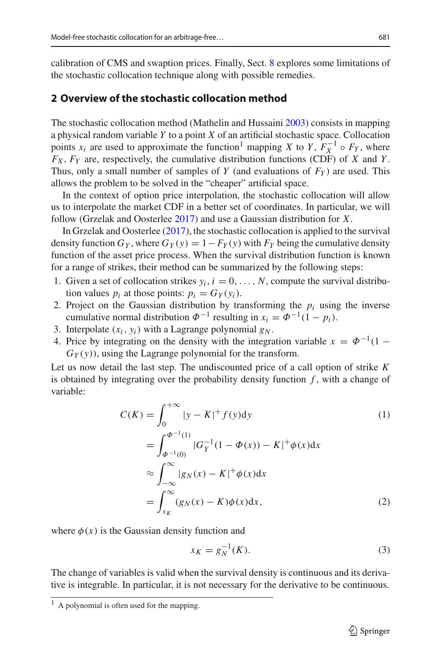calibration of CMS and swaption prices. Finally, Sect. [8](#page-25-0) explores some limitations of the stochastic collocation technique along with possible remedies.

### <span id="page-2-0"></span>**2 Overview of the stochastic collocation method**

The stochastic collocation method (Mathelin and Hussain[i](#page-35-6) [2003\)](#page-35-6) consists in mapping a physical random variable *Y* to a point *X* of an artificial stochastic space. Collocation points *x<sub>i</sub>* are used to approximate the function<sup>1</sup> mapping *X* to *Y*,  $F_X^{-1} \circ F_Y$ , where  $F_X$ ,  $F_Y$  are, respectively, the cumulative distribution functions (CDF) of *X* and *Y*. Thus, only a small number of samples of *Y* (and evaluations of  $F_Y$ ) are used. This allows the problem to be solved in the "cheaper" artificial space.

In the context of option price interpolation, the stochastic collocation will allow us to interpolate the market CDF in a better set of coordinates. In particular, we will follow (Grzelak and Oosterle[e](#page-35-4) [2017\)](#page-35-4) and use a Gaussian distribution for *X*.

In Grzelak and Oosterle[e](#page-35-4) [\(2017\)](#page-35-4), the stochastic collocation is applied to the survival density function  $G_Y$ , where  $G_Y(y) = 1 - F_Y(y)$  with  $F_Y$  being the cumulative density function of the asset price process. When the survival distribution function is known for a range of strikes, their method can be summarized by the following steps:

- 1. Given a set of collocation strikes  $y_i$ ,  $i = 0, \ldots, N$ , compute the survival distribution values  $p_i$  at those points:  $p_i = G_Y(y_i)$ .
- 2. Project on the Gaussian distribution by transforming the  $p_i$  using the inverse cumulative normal distribution  $\Phi^{-1}$  resulting in  $x_i = \Phi^{-1}(1 - p_i)$ .
- 3. Interpolate  $(x_i, y_i)$  with a Lagrange polynomial  $g_N$ .
- 4. Price by integrating on the density with the integration variable  $x = \Phi^{-1}(1 G_Y(y)$ , using the Lagrange polynomial for the transform.

Let us now detail the last step. The undiscounted price of a call option of strike *K* is obtained by integrating over the probability density function  $f$ , with a change of variable:

$$
C(K) = \int_0^{+\infty} |y - K|^+ f(y) dy
$$
  
\n
$$
= \int_{\Phi^{-1}(0)}^{\Phi^{-1}(1)} |G_Y^{-1}(1 - \Phi(x)) - K|^+ \phi(x) dx
$$
  
\n
$$
\approx \int_{-\infty}^{\infty} |g_N(x) - K|^+ \phi(x) dx
$$
  
\n
$$
= \int_{x_K}^{\infty} (g_N(x) - K) \phi(x) dx,
$$
 (2)

where  $\phi(x)$  is the Gaussian density function and

<span id="page-2-3"></span><span id="page-2-2"></span>
$$
x_K = g_N^{-1}(K).
$$
 (3)

The change of variables is valid when the survival density is continuous and its derivative is integrable. In particular, it is not necessary for the derivative to be continuous.

<span id="page-2-1"></span> $<sup>1</sup>$  A polynomial is often used for the mapping.</sup>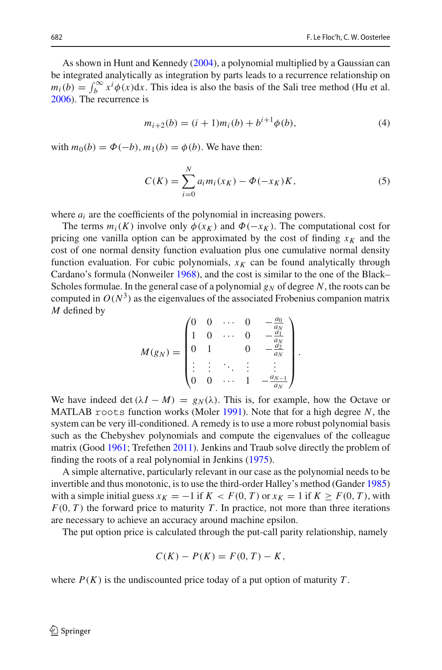As shown in Hunt and Kenned[y](#page-35-7) [\(2004](#page-35-7)), a polynomial multiplied by a Gaussian can be integrated analytically as integration by parts leads to a recurrence relationship on  $m_i(b) = \int_b^{\infty} x^i \phi(x) dx$ [.](#page-35-8) This idea is also the basis of the Sali tree method (Hu et al. [2006\)](#page-35-8). The recurrence is

<span id="page-3-0"></span>
$$
m_{i+2}(b) = (i+1)m_i(b) + b^{i+1}\phi(b),
$$
\n(4)

with  $m_0(b) = \Phi(-b)$ ,  $m_1(b) = \phi(b)$ . We have then:

$$
C(K) = \sum_{i=0}^{N} a_i m_i(x_K) - \Phi(-x_K)K,
$$
 (5)

.

where  $a_i$  are the coefficients of the polynomial in increasing powers.

The terms  $m_i(K)$  involve only  $\phi(x_K)$  and  $\Phi(-x_K)$ . The computational cost for pricing one vanilla option can be approximated by the cost of finding  $x_K$  and the cost of one normal density function evaluation plus one cumulative normal density function evaluation. For cubic polynomials,  $x_K$  can be found analytically through Cardano's formula (Nonweile[r](#page-35-9) [1968](#page-35-9)), and the cost is similar to the one of the Black– Scholes formulae. In the general case of a polynomial  $g_N$  of degree N, the roots can be computed in  $O(N^3)$  as the eigenvalues of the associated Frobenius companion matrix *M* defined by

$$
M(g_N) = \begin{pmatrix} 0 & 0 & \cdots & 0 & -\frac{a_0}{a_N} \\ 1 & 0 & \cdots & 0 & -\frac{a_1}{a_N} \\ 0 & 1 & & 0 & -\frac{a_2}{a_N} \\ \vdots & \vdots & \ddots & \vdots & \vdots \\ 0 & 0 & \cdots & 1 & -\frac{a_{N-1}}{a_N} \end{pmatrix}
$$

We have indeed det  $(\lambda I - M) = g_N(\lambda)$ . This is, for example, how the Octave or MATLAB roots function works (Mole[r](#page-35-10) [1991](#page-35-10)). Note that for a high degree *N*, the system can be very ill-conditioned. A remedy is to use a more robust polynomial basis such as the Chebyshev polynomials and compute the eigenvalues of the colleague matrix (Goo[d](#page-34-5) [1961;](#page-34-5) Trefethe[n](#page-35-11) [2011\)](#page-35-11). Jenkins and Traub solve directly the problem of finding the roots of a real polynomial in Jenkin[s](#page-35-12) [\(1975](#page-35-12)).

A simple alternative, particularly relevant in our case as the polynomial needs to be invertible and thus monotonic, is to use the third-order Halley's method (Gande[r](#page-34-6) [1985\)](#page-34-6) with a simple initial guess  $x_K = -1$  if  $K < F(0, T)$  or  $x_K = 1$  if  $K \geq F(0, T)$ , with  $F(0, T)$  the forward price to maturity *T*. In practice, not more than three iterations are necessary to achieve an accuracy around machine epsilon.

The put option price is calculated through the put-call parity relationship, namely

$$
C(K) - P(K) = F(0, T) - K,
$$

where  $P(K)$  is the undiscounted price today of a put option of maturity *T*.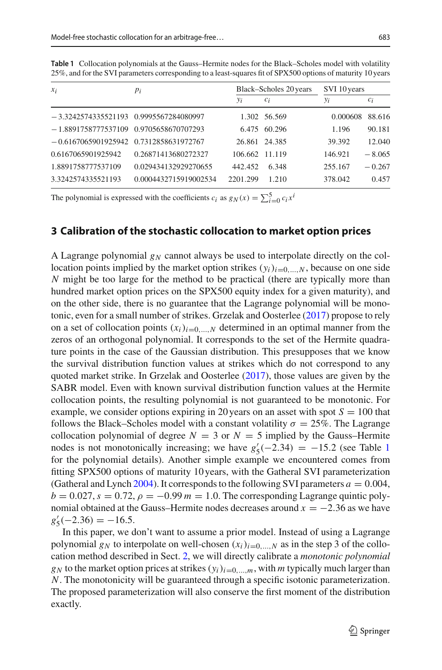| $x_i$                                    | $p_i$                 |                | Black-Scholes 20 years | SVI 10 years |          |
|------------------------------------------|-----------------------|----------------|------------------------|--------------|----------|
|                                          |                       | $y_i$          | $c_i$                  | $y_i$        | $c_i$    |
| $-3.3242574335521193$ 0.9995567284080997 |                       |                | 1.302 56.569           | 0.000608     | 88.616   |
| $-1.8891758777537109$ 0.9705658670707293 |                       |                | 6.475 60.296           | 1.196        | 90.181   |
| $-0.6167065901925942$ 0.7312858631972767 |                       |                | 26.861 24.385          | 39.392       | 12.040   |
| 0.6167065901925942                       | 0.26871413680272327   | 106.662 11.119 |                        | 146.921      | $-8.065$ |
| 1.8891758777537109                       | 0.029434132929270655  | 442.452        | 6.348                  | 255.167      | $-0.267$ |
| 3.3242574335521193                       | 0.0004432715919002534 | 2201.299       | 1.210                  | 378.042      | 0.457    |

<span id="page-4-1"></span>**Table 1** Collocation polynomials at the Gauss–Hermite nodes for the Black–Scholes model with volatility 25%, and for the SVI parameters corresponding to a least-squares fit of SPX500 options of maturity 10 years

The polynomial is expressed with the coefficients  $c_i$  as  $g_N(x) = \sum_{i=0}^{5} c_i x^i$ 

### <span id="page-4-0"></span>**3 Calibration of the stochastic collocation to market option prices**

A Lagrange polynomial  $g_N$  cannot always be used to interpolate directly on the collocation points implied by the market option strikes  $(y_i)_{i=0,\ldots,N}$ , because on one side *N* might be too large for the method to be practical (there are typically more than hundred market option prices on the SPX500 equity index for a given maturity), and on the other side, there is no guarantee that the Lagrange polynomial will be monotonic, even for a small number of strikes. Grzelak and Oosterle[e](#page-35-4) [\(2017](#page-35-4)) propose to rely on a set of collocation points  $(x_i)_{i=0,\dots,N}$  determined in an optimal manner from the zeros of an orthogonal polynomial. It corresponds to the set of the Hermite quadrature points in the case of the Gaussian distribution. This presupposes that we know the survival distribution function values at strikes which do not correspond to any quoted market strike. In Grzelak and Oosterle[e](#page-35-4) [\(2017](#page-35-4)), those values are given by the SABR model. Even with known survival distribution function values at the Hermite collocation points, the resulting polynomial is not guaranteed to be monotonic. For example, we consider options expiring in 20 years on an asset with spot  $S = 100$  that follows the Black–Scholes model with a constant volatility  $\sigma = 25\%$ . The Lagrange collocation polynomial of degree  $N = 3$  or  $N = 5$  implied by the Gauss–Hermite nodes is not monotonically increasing; we have  $g'_5(-2.34) = -15.2$  $g'_5(-2.34) = -15.2$  $g'_5(-2.34) = -15.2$  (see Table 1) for the polynomial details). Another simple example we encountered comes from fitting SPX500 options of maturity 10 years, with the Gatheral SVI parameterization (Gat[h](#page-34-7)eral and Lynch [2004\)](#page-34-7). It corresponds to the following SVI parameters  $a = 0.004$ ,  $b = 0.027$ ,  $s = 0.72$ ,  $\rho = -0.99$   $m = 1.0$ . The corresponding Lagrange quintic polynomial obtained at the Gauss–Hermite nodes decreases around  $x = -2.36$  as we have  $g'_5(-2.36) = -16.5.$ 

In this paper, we don't want to assume a prior model. Instead of using a Lagrange polynomial  $g_N$  to interpolate on well-chosen  $(x_i)_{i=0,\dots,N}$  as in the step 3 of the collocation method described in Sect. [2,](#page-2-0) we will directly calibrate a *monotonic polynomial*  $g_N$  to the market option prices at strikes  $(y_i)_{i=0,\dots,m}$ , with *m* typically much larger than *N*. The monotonicity will be guaranteed through a specific isotonic parameterization. The proposed parameterization will also conserve the first moment of the distribution exactly.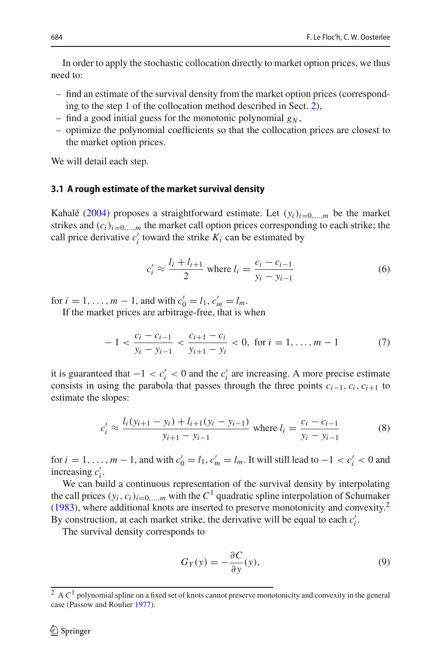In order to apply the stochastic collocation directly to market option prices, we thus need to:

- find an estimate of the survival density from the market option prices (corresponding to the step 1 of the collocation method described in Sect. [2\)](#page-2-0),
- find a good initial guess for the monotonic polynomial  $g_N$ ,
- optimize the polynomial coefficients so that the collocation prices are closest to the market option prices.

We will detail each step.

#### **3.1 A rough estimate of the market survival density**

Kahal[é](#page-35-0) [\(2004\)](#page-35-0) proposes a straightforward estimate. Let  $(v_i)_{i=0,\dots,m}$  be the market strikes and  $(c_i)_{i=0,\dots,m}$  the market call option prices corresponding to each strike; the call price derivative  $c_i'$  toward the strike  $K_i$  can be estimated by

$$
c'_i \approx \frac{l_i + l_{i+1}}{2}
$$
 where  $l_i = \frac{c_i - c_{i-1}}{y_i - y_{i-1}}$  (6)

for  $i = 1, ..., m - 1$ , and with  $c'_0 = l_1, c'_m = l_m$ .

If the market prices are arbitrage-free, that is when

$$
-1 < \frac{c_i - c_{i-1}}{y_i - y_{i-1}} < \frac{c_{i+1} - c_i}{y_{i+1} - y_i} < 0, \text{ for } i = 1, \dots, m - 1 \tag{7}
$$

it is guaranteed that  $-1 < c_i' < 0$  and the  $c_i'$  are increasing. A more precise estimate consists in using the parabola that passes through the three points  $c_{i-1}, c_i, c_{i+1}$  to estimate the slopes:

$$
c'_{i} \approx \frac{l_i(y_{i+1} - y_i) + l_{i+1}(y_i - y_{i-1})}{y_{i+1} - y_{i-1}}
$$
 where  $l_i = \frac{c_i - c_{i-1}}{y_i - y_{i-1}}$  (8)

for  $i = 1, \ldots, m - 1$ , and with  $c'_0 = l_1, c'_m = l_m$ . It will still lead to  $-1 < c'_i < 0$  and increasing  $c_i'$ .

We can build a continuous representation of the survival density by interpolating the call p[r](#page-35-13)ices  $(y_i, c_i)_{i=0,\dots,m}$  with the  $C^1$  quadratic spline interpolation of Schumaker  $(1983)$ , where additional knots are inserted to preserve monotonicity and convexity.<sup>2</sup> By construction, at each market strike, the derivative will be equal to each  $c_i'$ .

The survival density corresponds to

<span id="page-5-1"></span>
$$
G_Y(y) = -\frac{\partial C}{\partial y}(y),\tag{9}
$$

<span id="page-5-0"></span><sup>&</sup>lt;sup>2</sup> A *C*<sup>1</sup> polynomial spline on a fixed set of knots cannot preserve monotonicity and convexity in the general case (Passow and Roulie[r](#page-35-14) [1977](#page-35-14)).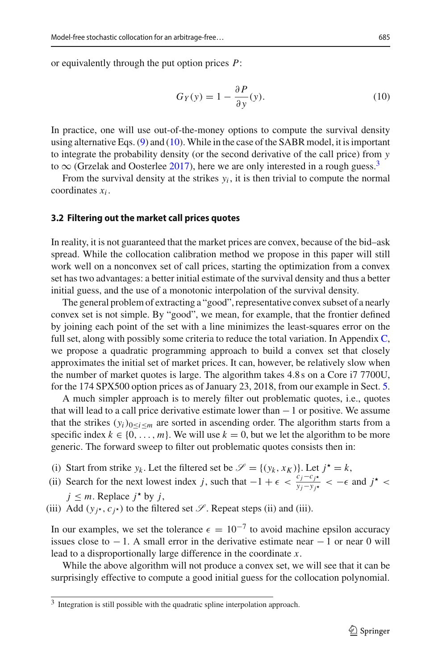or equivalently through the put option prices *P*:

<span id="page-6-0"></span>
$$
G_Y(y) = 1 - \frac{\partial P}{\partial y}(y). \tag{10}
$$

In practice, one will use out-of-the-money options to compute the survival density using alternative Eqs.  $(9)$  and  $(10)$ . While in the case of the SABR model, it is important to integrate the probability density (or the second derivative of the call price) from *y* to  $\infty$  (Grz[e](#page-35-4)lak and Oosterlee [2017](#page-35-4)), here we are only interested in a rough guess.<sup>3</sup>

From the survival density at the strikes  $y_i$ , it is then trivial to compute the normal coordinates *xi* .

#### **3.2 Filtering out the market call prices quotes**

In reality, it is not guaranteed that the market prices are convex, because of the bid–ask spread. While the collocation calibration method we propose in this paper will still work well on a nonconvex set of call prices, starting the optimization from a convex set has two advantages: a better initial estimate of the survival density and thus a better initial guess, and the use of a monotonic interpolation of the survival density.

The general problem of extracting a "good", representative convex subset of a nearly convex set is not simple. By "good", we mean, for example, that the frontier defined by joining each point of the set with a line minimizes the least-squares error on the full set, along with possibly some criteria to reduce the total variation. In Appendix [C,](#page-4-0) we propose a quadratic programming approach to build a convex set that closely approximates the initial set of market prices. It can, however, be relatively slow when the number of market quotes is large. The algorithm takes 4.8 s on a Core i7 7700U, for the 174 SPX500 option prices as of January 23, 2018, from our example in Sect. [5.](#page-17-0)

A much simpler approach is to merely filter out problematic quotes, i.e., quotes that will lead to a call price derivative estimate lower than −1 or positive. We assume that the strikes  $(y_i)_{0 \le i \le m}$  are sorted in ascending order. The algorithm starts from a specific index  $k \in \{0, \ldots, m\}$ . We will use  $k = 0$ , but we let the algorithm to be more generic. The forward sweep to filter out problematic quotes consists then in:

- (i) Start from strike  $y_k$ . Let the filtered set be  $\mathscr{S} = \{(y_k, x_K)\}\)$ . Let  $j^* = k$ ,
- (ii) Search for the next lowest index *j*, such that  $-1 + \epsilon < \frac{c_j c_{j*}}{y_j y_{j*}} < -\epsilon$  and  $j^* <$  $j \leq m$ . Replace  $j^*$  by  $j$ ,
- (iii) Add ( $y_i$ <sup>\*</sup>,  $c_i$ <sup>\*</sup>) to the filtered set *S*. Repeat steps (ii) and (iii).

In our examples, we set the tolerance  $\epsilon = 10^{-7}$  to avoid machine epsilon accuracy issues close to  $-1$ . A small error in the derivative estimate near  $-1$  or near 0 will lead to a disproportionally large difference in the coordinate *x*.

While the above algorithm will not produce a convex set, we will see that it can be surprisingly effective to compute a good initial guess for the collocation polynomial.

<span id="page-6-1"></span><sup>&</sup>lt;sup>3</sup> Integration is still possible with the quadratic spline interpolation approach.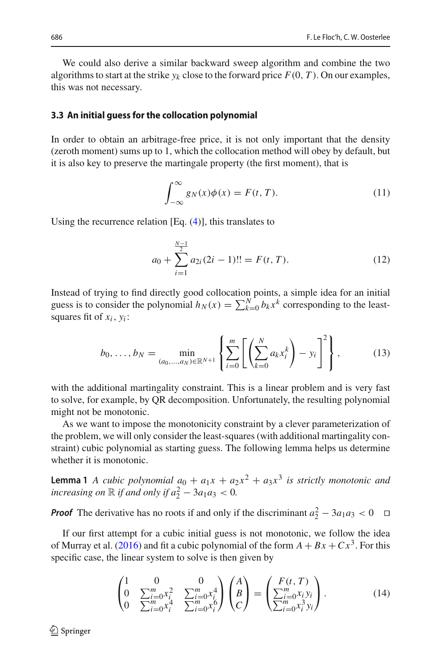We could also derive a similar backward sweep algorithm and combine the two algorithms to start at the strike  $y_k$  close to the forward price  $F(0, T)$ . On our examples, this was not necessary.

#### **3.3 An initial guess for the collocation polynomial**

In order to obtain an arbitrage-free price, it is not only important that the density (zeroth moment) sums up to 1, which the collocation method will obey by default, but it is also key to preserve the martingale property (the first moment), that is

$$
\int_{-\infty}^{\infty} g_N(x)\phi(x) = F(t, T). \tag{11}
$$

Using the recurrence relation  $[Eq. (4)]$  $[Eq. (4)]$  $[Eq. (4)]$ , this translates to

$$
a_0 + \sum_{i=1}^{\frac{N-1}{2}} a_{2i} (2i-1)!! = F(t, T).
$$
 (12)

Instead of trying to find directly good collocation points, a simple idea for an initial guess is to consider the polynomial  $h_N(x) = \sum_{k=0}^{N} b_k x^k$  corresponding to the leastsquares fit of  $x_i$ ,  $y_i$ :

$$
b_0, \ldots, b_N = \min_{(a_0, \ldots, a_N) \in \mathbb{R}^{N+1}} \left\{ \sum_{i=0}^m \left[ \left( \sum_{k=0}^N a_k x_i^k \right) - y_i \right]^2 \right\},\tag{13}
$$

with the additional martingality constraint. This is a linear problem and is very fast to solve, for example, by QR decomposition. Unfortunately, the resulting polynomial might not be monotonic.

As we want to impose the monotonicity constraint by a clever parameterization of the problem, we will only consider the least-squares (with additional martingality constraint) cubic polynomial as starting guess. The following lemma helps us determine whether it is monotonic.

**Lemma 1** *A cubic polynomial*  $a_0 + a_1x + a_2x^2 + a_3x^3$  *is strictly monotonic and increasing on*  $\mathbb R$  *if and only if*  $a_2^2 - 3a_1a_3 < 0$ .

*Proof* The derivative has no roots if and only if the discriminant  $a_2^2 - 3a_1a_3 < 0$ 

If our first attempt for a cubic initial guess is not monotonic, we follow the idea of Murray et al[.](#page-35-15) [\(2016\)](#page-35-15) and fit a cubic polynomial of the form  $A + Bx + Cx^3$ . For this specific case, the linear system to solve is then given by

$$
\begin{pmatrix}\n1 & 0 & 0 \\
0 & \sum_{i=0}^{m} x_i^2 & \sum_{i=0}^{m} x_i^4 \\
0 & \sum_{i=0}^{m} x_i^4 & \sum_{i=0}^{m} x_i^6\n\end{pmatrix}\n\begin{pmatrix}\nA \\
B \\
C\n\end{pmatrix} = \begin{pmatrix}\nF(t, T) \\
\sum_{i=0}^{m} x_i y_i \\
\sum_{i=0}^{m} x_i^3 y_i\n\end{pmatrix}.
$$
\n(14)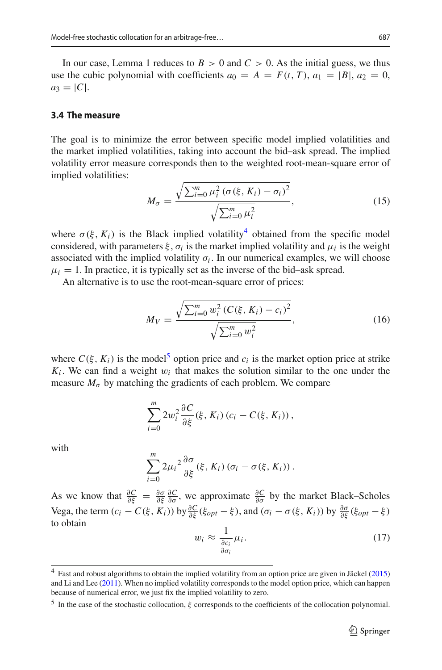In our case, Lemma 1 reduces to  $B > 0$  and  $C > 0$ . As the initial guess, we thus use the cubic polynomial with coefficients  $a_0 = A = F(t, T)$ ,  $a_1 = |B|$ ,  $a_2 = 0$ ,  $a_3 = |C|$ .

#### **3.4 The measure**

The goal is to minimize the error between specific model implied volatilities and the market implied volatilities, taking into account the bid–ask spread. The implied volatility error measure corresponds then to the weighted root-mean-square error of implied volatilities:

$$
M_{\sigma} = \frac{\sqrt{\sum_{i=0}^{m} \mu_{i}^{2} (\sigma(\xi, K_{i}) - \sigma_{i})^{2}}}{\sqrt{\sum_{i=0}^{m} \mu_{i}^{2}}},
$$
\n(15)

where  $\sigma(\xi, K_i)$  is the Black implied volatility<sup>4</sup> obtained from the specific model considered, with parameters  $\xi$ ,  $\sigma_i$  is the market implied volatility and  $\mu_i$  is the weight associated with the implied volatility  $\sigma_i$ . In our numerical examples, we will choose  $\mu_i = 1$ . In practice, it is typically set as the inverse of the bid-ask spread.

An alternative is to use the root-mean-square error of prices:

$$
M_V = \frac{\sqrt{\sum_{i=0}^{m} w_i^2 (C(\xi, K_i) - c_i)^2}}{\sqrt{\sum_{i=0}^{m} w_i^2}},
$$
\n(16)

where  $C(\xi, K_i)$  is the model<sup>[5](#page-8-1)</sup> option price and  $c_i$  is the market option price at strike  $K_i$ . We can find a weight  $w_i$  that makes the solution similar to the one under the measure  $M_{\sigma}$  by matching the gradients of each problem. We compare

$$
\sum_{i=0}^m 2w_i^2 \frac{\partial C}{\partial \xi}(\xi, K_i) (c_i - C(\xi, K_i)),
$$

with

$$
\sum_{i=0}^{m} 2\mu_i^2 \frac{\partial \sigma}{\partial \xi}(\xi, K_i) (\sigma_i - \sigma(\xi, K_i)).
$$

As we know that  $\frac{\partial C}{\partial \xi} = \frac{\partial \sigma}{\partial \xi} \frac{\partial C}{\partial \sigma}$ , we approximate  $\frac{\partial C}{\partial \sigma}$  by the market Black–Scholes Vega, the term  $(c_i - C(\xi, K_i))$  by  $\frac{\partial C}{\partial \xi}(\xi_{opt} - \xi)$ , and  $(\sigma_i - \sigma(\xi, K_i))$  by  $\frac{\partial \sigma}{\partial \xi}(\xi_{opt} - \xi)$ to obtain

$$
w_i \approx \frac{1}{\frac{\partial c_i}{\partial \sigma_i}} \mu_i.
$$
 (17)

<span id="page-8-0"></span><sup>&</sup>lt;sup>4</sup> Fast and robust a[l](#page-35-16)gorithms to obtain the implied volatility from an option price are given in Jäckel [\(2015](#page-35-16)) and Li and Le[e](#page-35-17) [\(2011](#page-35-17)). When no implied volatility corresponds to the model option price, which can happen because of numerical error, we just fix the implied volatility to zero.

<span id="page-8-1"></span><sup>&</sup>lt;sup>5</sup> In the case of the stochastic collocation,  $\xi$  corresponds to the coefficients of the collocation polynomial.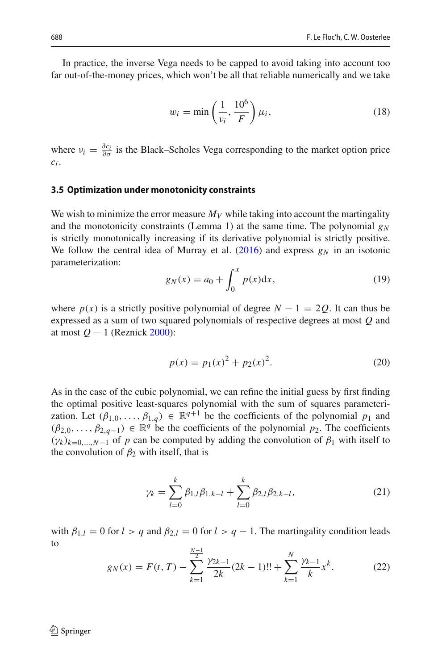In practice, the inverse Vega needs to be capped to avoid taking into account too far out-of-the-money prices, which won't be all that reliable numerically and we take

$$
w_i = \min\left(\frac{1}{v_i}, \frac{10^6}{F}\right)\mu_i,\tag{18}
$$

where  $v_i = \frac{\partial c_i}{\partial \sigma}$  is the Black–Scholes Vega corresponding to the market option price *ci* .

#### **3.5 Optimization under monotonicity constraints**

We wish to minimize the error measure  $M_V$  while taking into account the martingality and the monotonicity constraints (Lemma 1) at the same time. The polynomial  $g_N$ is strictly monotonically increasing if its derivative polynomial is strictly positive. We follow the central idea of Murray et al[.](#page-35-15)  $(2016)$  $(2016)$  and express  $g_N$  in an isotonic parameterization:

$$
g_N(x) = a_0 + \int_0^x p(x) \, dx,\tag{19}
$$

where  $p(x)$  is a strictly positive polynomial of degree  $N - 1 = 2Q$ . It can thus be expressed as a sum of two squared polynomials of respective degrees at most *Q* and at most *Q* − 1 (Reznic[k](#page-35-18) [2000\)](#page-35-18):

$$
p(x) = p_1(x)^2 + p_2(x)^2.
$$
 (20)

As in the case of the cubic polynomial, we can refine the initial guess by first finding the optimal positive least-squares polynomial with the sum of squares parameterization. Let  $(\beta_{1,0},\ldots,\beta_{1,q}) \in \mathbb{R}^{q+1}$  be the coefficients of the polynomial  $p_1$  and  $(\beta_{2,0},\ldots,\beta_{2,q-1}) \in \mathbb{R}^q$  be the coefficients of the polynomial  $p_2$ . The coefficients  $(\gamma_k)_{k=0,\dots,N-1}$  of *p* can be computed by adding the convolution of  $\beta_1$  with itself to the convolution of  $\beta_2$  with itself, that is

$$
\gamma_k = \sum_{l=0}^k \beta_{1,l} \beta_{1,k-l} + \sum_{l=0}^k \beta_{2,l} \beta_{2,k-l},
$$
\n(21)

with  $\beta_{1,l} = 0$  for  $l > q$  and  $\beta_{2,l} = 0$  for  $l > q - 1$ . The martingality condition leads to *N*−1

$$
g_N(x) = F(t, T) - \sum_{k=1}^{\frac{N-1}{2}} \frac{\gamma_{2k-1}}{2k} (2k-1)!! + \sum_{k=1}^N \frac{\gamma_{k-1}}{k} x^k.
$$
 (22)

 $\textcircled{2}$  Springer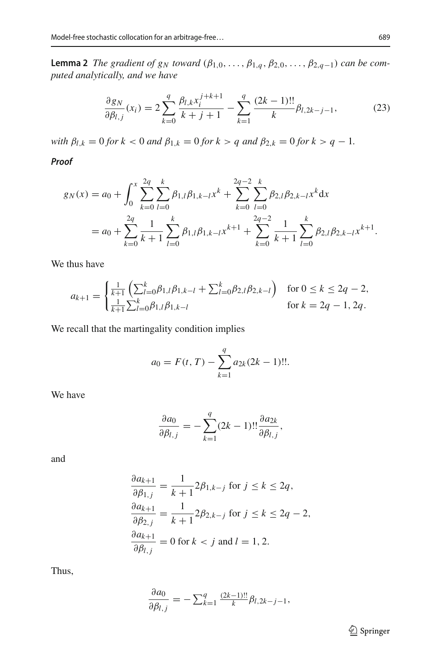**Lemma 2** *The gradient of g<sub>N</sub> toward* ( $\beta_{1,0}, \ldots, \beta_{1,q}, \beta_{2,0}, \ldots, \beta_{2,q-1}$ ) *can be computed analytically, and we have*

$$
\frac{\partial g_N}{\partial \beta_{l,j}}(x_i) = 2 \sum_{k=0}^{q} \frac{\beta_{l,k} x_i^{j+k+1}}{k+j+1} - \sum_{k=1}^{q} \frac{(2k-1)!!}{k} \beta_{l,2k-j-1},
$$
(23)

*with*  $\beta_{l,k} = 0$  *for*  $k < 0$  *and*  $\beta_{1,k} = 0$  *for*  $k > q$  *and*  $\beta_{2,k} = 0$  *for*  $k > q - 1$ *.* 

*Proof*

$$
g_N(x) = a_0 + \int_0^x \sum_{k=0}^{2q} \sum_{l=0}^k \beta_{1,l} \beta_{1,k-l} x^k + \sum_{k=0}^{2q-2} \sum_{l=0}^k \beta_{2,l} \beta_{2,k-l} x^k dx
$$
  
=  $a_0 + \sum_{k=0}^{2q} \frac{1}{k+1} \sum_{l=0}^k \beta_{1,l} \beta_{1,k-l} x^{k+1} + \sum_{k=0}^{2q-2} \frac{1}{k+1} \sum_{l=0}^k \beta_{2,l} \beta_{2,k-l} x^{k+1}.$ 

We thus have

$$
a_{k+1} = \begin{cases} \frac{1}{k+1} \left( \sum_{l=0}^{k} \beta_{1,l} \beta_{1,k-l} + \sum_{l=0}^{k} \beta_{2,l} \beta_{2,k-l} \right) & \text{for } 0 \le k \le 2q-2, \\ \frac{1}{k+1} \sum_{l=0}^{k} \beta_{1,l} \beta_{1,k-l} & \text{for } k = 2q-1, 2q. \end{cases}
$$

We recall that the martingality condition implies

$$
a_0 = F(t, T) - \sum_{k=1}^{q} a_{2k} (2k - 1)!!.
$$

We have

$$
\frac{\partial a_0}{\partial \beta_{l,j}} = -\sum_{k=1}^q (2k-1)!! \frac{\partial a_{2k}}{\partial \beta_{l,j}},
$$

and

$$
\frac{\partial a_{k+1}}{\partial \beta_{1,j}} = \frac{1}{k+1} 2\beta_{1,k-j} \text{ for } j \le k \le 2q,
$$
  

$$
\frac{\partial a_{k+1}}{\partial \beta_{2,j}} = \frac{1}{k+1} 2\beta_{2,k-j} \text{ for } j \le k \le 2q-2,
$$
  

$$
\frac{\partial a_{k+1}}{\partial \beta_{l,j}} = 0 \text{ for } k < j \text{ and } l = 1, 2.
$$

Thus,

$$
\frac{\partial a_0}{\partial \beta_{l,j}} = -\sum_{k=1}^q \frac{(2k-1)!!}{k} \beta_{l,2k-j-1},
$$

<sup>2</sup> Springer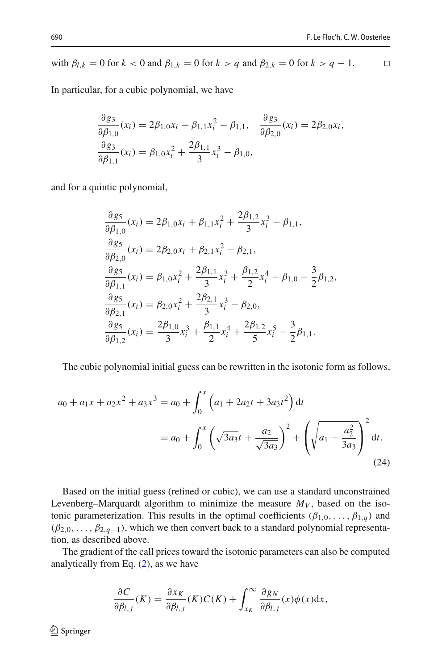with  $\beta_{l,k} = 0$  for  $k < 0$  and  $\beta_{1,k} = 0$  for  $k > q$  and  $\beta_{2,k} = 0$  for  $k > q - 1$ .

In particular, for a cubic polynomial, we have

$$
\frac{\partial g_3}{\partial \beta_{1,0}}(x_i) = 2\beta_{1,0}x_i + \beta_{1,1}x_i^2 - \beta_{1,1}, \quad \frac{\partial g_3}{\partial \beta_{2,0}}(x_i) = 2\beta_{2,0}x_i, \n\frac{\partial g_3}{\partial \beta_{1,1}}(x_i) = \beta_{1,0}x_i^2 + \frac{2\beta_{1,1}}{3}x_i^3 - \beta_{1,0},
$$

and for a quintic polynomial,

$$
\frac{\partial g_5}{\partial \beta_{1,0}}(x_i) = 2\beta_{1,0}x_i + \beta_{1,1}x_i^2 + \frac{2\beta_{1,2}}{3}x_i^3 - \beta_{1,1},
$$
  
\n
$$
\frac{\partial g_5}{\partial \beta_{2,0}}(x_i) = 2\beta_{2,0}x_i + \beta_{2,1}x_i^2 - \beta_{2,1},
$$
  
\n
$$
\frac{\partial g_5}{\partial \beta_{1,1}}(x_i) = \beta_{1,0}x_i^2 + \frac{2\beta_{1,1}}{3}x_i^3 + \frac{\beta_{1,2}}{2}x_i^4 - \beta_{1,0} - \frac{3}{2}\beta_{1,2},
$$
  
\n
$$
\frac{\partial g_5}{\partial \beta_{2,1}}(x_i) = \beta_{2,0}x_i^2 + \frac{2\beta_{2,1}}{3}x_i^3 - \beta_{2,0},
$$
  
\n
$$
\frac{\partial g_5}{\partial \beta_{1,2}}(x_i) = \frac{2\beta_{1,0}}{3}x_i^3 + \frac{\beta_{1,1}}{2}x_i^4 + \frac{2\beta_{1,2}}{5}x_i^5 - \frac{3}{2}\beta_{1,1}.
$$

The cubic polynomial initial guess can be rewritten in the isotonic form as follows,

$$
a_0 + a_1 x + a_2 x^2 + a_3 x^3 = a_0 + \int_0^x \left( a_1 + 2a_2 t + 3a_3 t^2 \right) dt
$$
  
=  $a_0 + \int_0^x \left( \sqrt{3a_3} t + \frac{a_2}{\sqrt{3a_3}} \right)^2 + \left( \sqrt{a_1 - \frac{a_2^2}{3a_3}} \right)^2 dt.$  (24)

Based on the initial guess (refined or cubic), we can use a standard unconstrained Levenberg–Marquardt algorithm to minimize the measure  $M_V$ , based on the isotonic parameterization. This results in the optimal coefficients  $(\beta_{1,0}, \ldots, \beta_{1,q})$  and  $(\beta_{2,0},\ldots,\beta_{2,q-1})$ , which we then convert back to a standard polynomial representation, as described above.

The gradient of the call prices toward the isotonic parameters can also be computed analytically from Eq. [\(2\)](#page-2-2), as we have

$$
\frac{\partial C}{\partial \beta_{l,j}}(K) = \frac{\partial x_K}{\partial \beta_{l,j}}(K)C(K) + \int_{x_K}^{\infty} \frac{\partial g_N}{\partial \beta_{l,j}}(x)\phi(x)dx,
$$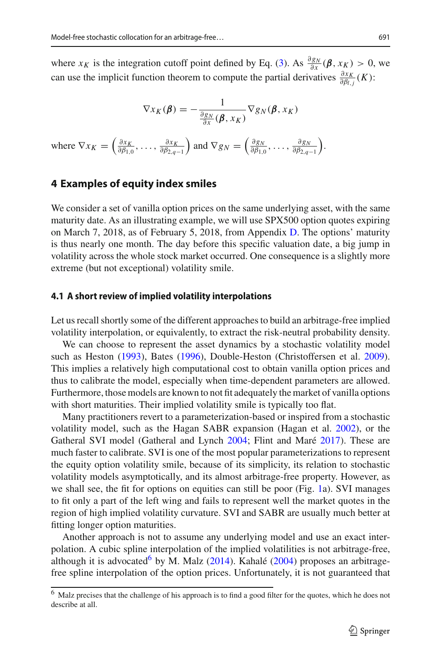where *x<sub>K</sub>* is the integration cutoff point defined by Eq. [\(3\)](#page-2-3). As  $\frac{\partial g_N}{\partial x}(\beta, x_k) > 0$ , we can use the implicit function theorem to compute the partial derivatives  $\frac{\partial x_K}{\partial \beta_{l,j}}(K)$ :

$$
\nabla x_K(\boldsymbol{\beta}) = -\frac{1}{\frac{\partial g_N}{\partial x}(\boldsymbol{\beta}, x_K)} \nabla g_N(\boldsymbol{\beta}, x_K)
$$
  
where  $\nabla x_K = \left(\frac{\partial x_K}{\partial \beta_{1,0}}, \dots, \frac{\partial x_K}{\partial \beta_{2,q-1}}\right)$  and  $\nabla g_N = \left(\frac{\partial g_N}{\partial \beta_{1,0}}, \dots, \frac{\partial g_N}{\partial \beta_{2,q-1}}\right)$ .

#### <span id="page-12-0"></span>**4 Examples of equity index smiles**

We consider a set of vanilla option prices on the same underlying asset, with the same maturity date. As an illustrating example, we will use SPX500 option quotes expiring on March 7, 2018, as of February 5, 2018, from Appendix [D.](#page-12-0) The options' maturity is thus nearly one month. The day before this specific valuation date, a big jump in volatility across the whole stock market occurred. One consequence is a slightly more extreme (but not exceptional) volatility smile.

#### <span id="page-12-2"></span>**4.1 A short review of implied volatility interpolations**

Let us recall shortly some of the different approaches to build an arbitrage-free implied volatility interpolation, or equivalently, to extract the risk-neutral probability density.

We can choose to represent the asset dynamics by a stochastic volatility model such as Hesto[n](#page-35-1) [\(1993](#page-35-1)), Bate[s](#page-34-8) [\(1996](#page-34-8)), Double-Heston (Christoffersen et al[.](#page-34-9) [2009](#page-34-9)). This implies a relatively high computational cost to obtain vanilla option prices and thus to calibrate the model, especially when time-dependent parameters are allowed. Furthermore, those models are known to not fit adequately the market of vanilla options with short maturities. Their implied volatility smile is typically too flat.

Many practitioners revert to a parameterization-based or inspired from a stochastic volatility model, such as the Hagan SABR expansion (Hagan et al[.](#page-35-2) [2002\)](#page-35-2), or the Gatheral SVI model (Gatheral and Lync[h](#page-34-7) [2004](#page-34-7); Flint and Mar[é](#page-34-10) [2017\)](#page-34-10). These are much faster to calibrate. SVI is one of the most popular parameterizations to represent the equity option volatility smile, because of its simplicity, its relation to stochastic volatility models asymptotically, and its almost arbitrage-free property. However, as we shall see, the fit for options on equities can still be poor (Fig. [1a](#page-13-0)). SVI manages to fit only a part of the left wing and fails to represent well the market quotes in the region of high implied volatility curvature. SVI and SABR are usually much better at fitting longer option maturities.

Another approach is not to assume any underlying model and use an exact interpolation. A cubic spline interpolation of the implied volatilities is not arbitrage-free, although it is advocated<sup>6</sup> by M. Mal[z](#page-35-19) [\(2014\)](#page-35-19). Kahal[é](#page-35-0) [\(2004](#page-35-0)) proposes an arbitragefree spline interpolation of the option prices. Unfortunately, it is not guaranteed that

<span id="page-12-1"></span><sup>6</sup> Malz precises that the challenge of his approach is to find a good filter for the quotes, which he does not describe at all.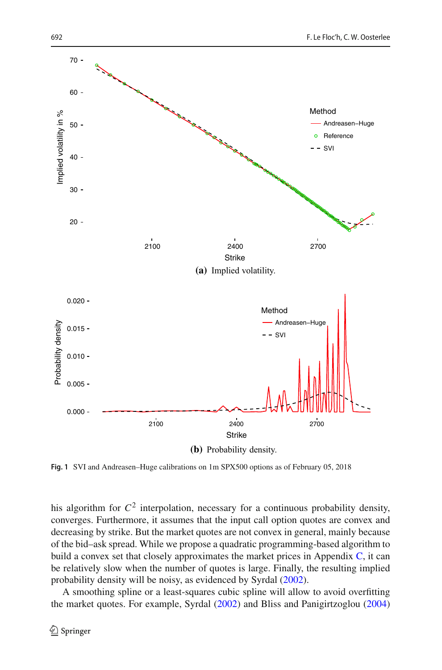

<span id="page-13-0"></span>**Fig. 1** SVI and Andreasen–Huge calibrations on 1m SPX500 options as of February 05, 2018

his algorithm for  $C^2$  interpolation, necessary for a continuous probability density, converges. Furthermore, it assumes that the input call option quotes are convex and decreasing by strike. But the market quotes are not convex in general, mainly because of the bid–ask spread. While we propose a quadratic programming-based algorithm to build a convex set that closely approximates the market prices in Appendix [C,](#page-4-0) it can be relatively slow when the number of quotes is large. Finally, the resulting implied probability density will be noisy, as evidenced by Syrda[l](#page-35-20) [\(2002\)](#page-35-20).

A smoothing spline or a least-squares cubic spline will allow to avoid overfitting the market quotes. For example, Syrda[l](#page-35-20) [\(2002\)](#page-35-20) and Bliss and Panigirtzoglo[u](#page-34-11) [\(2004\)](#page-34-11)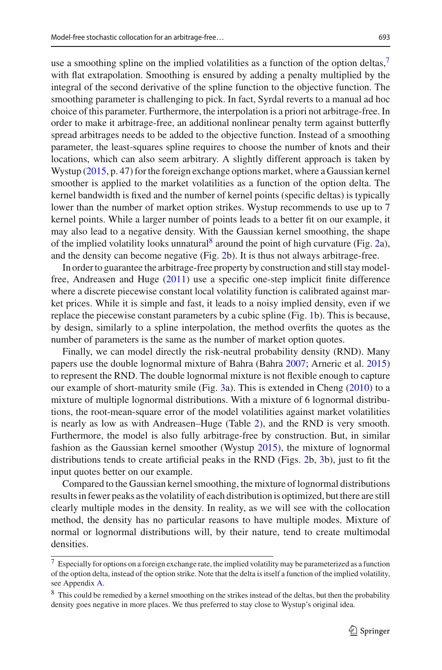use a smoothing spline on the implied volatilities as a function of the option deltas,<sup>[7](#page-14-0)</sup> with flat extrapolation. Smoothing is ensured by adding a penalty multiplied by the integral of the second derivative of the spline function to the objective function. The smoothing parameter is challenging to pick. In fact, Syrdal reverts to a manual ad hoc choice of this parameter. Furthermore, the interpolation is a priori not arbitrage-free. In order to make it arbitrage-free, an additional nonlinear penalty term against butterfly spread arbitrages needs to be added to the objective function. Instead of a smoothing parameter, the least-squares spline requires to choose the number of knots and their locations, which can also seem arbitrary. A slightly different approach is taken by Wystup [\(2015,](#page-35-21) p. 47) for the foreign exchange options market, where a Gaussian kernel smoother is applied to the market volatilities as a function of the option delta. The kernel bandwidth is fixed and the number of kernel points (specific deltas) is typically lower than the number of market option strikes. Wystup recommends to use up to 7 kernel points. While a larger number of points leads to a better fit on our example, it may also lead to a negative density. With the Gaussian kernel smoothing, the shape of the implied volatility looks unnatural<sup>8</sup> around the point of high curvature (Fig. [2a](#page-15-0)), and the density can become negative (Fig. [2b](#page-15-0)). It is thus not always arbitrage-free.

In order to guarantee the arbitrage-free property by construction and still stay modelfree, Andreasen and Hug[e](#page-34-3) [\(2011](#page-34-3)) use a specific one-step implicit finite difference where a discrete piecewise constant local volatility function is calibrated against market prices. While it is simple and fast, it leads to a noisy implied density, even if we replace the piecewise constant parameters by a cubic spline (Fig. [1b](#page-13-0)). This is because, by design, similarly to a spline interpolation, the method overfits the quotes as the number of parameters is the same as the number of market option quotes.

Finally, we can model directly the risk-neutral probability density (RND). Many papers use the double lognormal mixture of Bahra (Bahr[a](#page-34-12) [2007](#page-34-12); Arneric et al[.](#page-34-13) [2015\)](#page-34-13) to represent the RND. The double lognormal mixture is not flexible enough to capture our example of short-maturity smile (Fig. [3a](#page-16-0)). This is extended in Chen[g](#page-34-14) [\(2010](#page-34-14)) to a mixture of multiple lognormal distributions. With a mixture of 6 lognormal distributions, the root-mean-square error of the model volatilities against market volatilities is nearly as low as with Andreasen–Huge (Table [2\)](#page-17-1), and the RND is very smooth. Furthermore, the model is also fully arbitrage-free by construction. But, in similar fashion as the Gaussian kernel smoother (Wystu[p](#page-35-21) [2015](#page-35-21)), the mixture of lognormal distributions tends to create artificial peaks in the RND (Figs. [2b](#page-15-0), [3b](#page-16-0)), just to fit the input quotes better on our example.

Compared to the Gaussian kernel smoothing, the mixture of lognormal distributions results in fewer peaks as the volatility of each distribution is optimized, but there are still clearly multiple modes in the density. In reality, as we will see with the collocation method, the density has no particular reasons to have multiple modes. Mixture of normal or lognormal distributions will, by their nature, tend to create multimodal densities.

<span id="page-14-0"></span> $^7$  Especially for options on a foreign exchange rate, the implied volatility may be parameterized as a function of the option delta, instead of the option strike. Note that the delta is itself a function of the implied volatility, see Appendix [A.](#page-0-0)

<span id="page-14-1"></span><sup>&</sup>lt;sup>8</sup> This could be remedied by a kernel smoothing on the strikes instead of the deltas, but then the probability density goes negative in more places. We thus preferred to stay close to Wystup's original idea.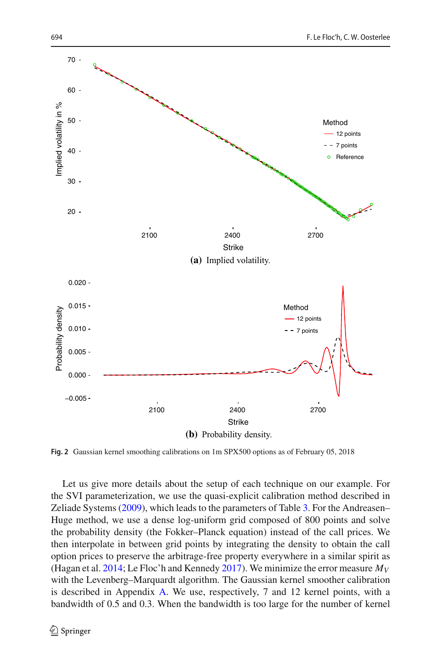

<span id="page-15-0"></span>**Fig. 2** Gaussian kernel smoothing calibrations on 1m SPX500 options as of February 05, 2018

Let us give more details about the setup of each technique on our example. For the SVI parameterization, we use the quasi-explicit calibration method described in Zeliade System[s](#page-35-22) [\(2009](#page-35-22)), which leads to the parameters of Table [3.](#page-17-2) For the Andreasen– Huge method, we use a dense log-uniform grid composed of 800 points and solve the probability density (the Fokker–Planck equation) instead of the call prices. We then interpolate in between grid points by integrating the density to obtain the call option prices to preserve the arbitrage-free property everywhere in a similar spirit as (Hagan et al[.](#page-35-3) [2014](#page-35-3); Le Floc'h and Kenned[y](#page-35-23) [2017\)](#page-35-23). We minimize the error measure  $M_V$ with the Levenberg–Marquardt algorithm. The Gaussian kernel smoother calibration is described in Appendix [A.](#page-0-0) We use, respectively, 7 and 12 kernel points, with a bandwidth of 0.5 and 0.3. When the bandwidth is too large for the number of kernel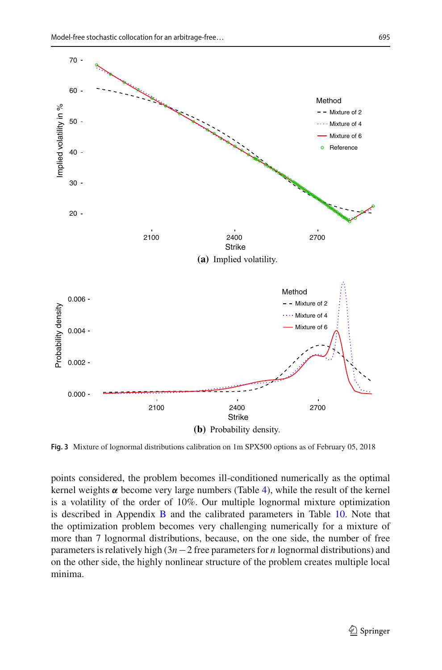

<span id="page-16-0"></span>**Fig. 3** Mixture of lognormal distributions calibration on 1m SPX500 options as of February 05, 2018

points considered, the problem becomes ill-conditioned numerically as the optimal kernel weights  $\alpha$  become very large numbers (Table [4\)](#page-17-3), while the result of the kernel is a volatility of the order of 10%. Our multiple lognormal mixture optimization is described in Appendix [B](#page-2-0) and the calibrated parameters in Table [10.](#page-31-0) Note that the optimization problem becomes very challenging numerically for a mixture of more than 7 lognormal distributions, because, on the one side, the number of free parameters is relatively high (3*n*−2 free parameters for *n* lognormal distributions) and on the other side, the highly nonlinear structure of the problem creates multiple local minima.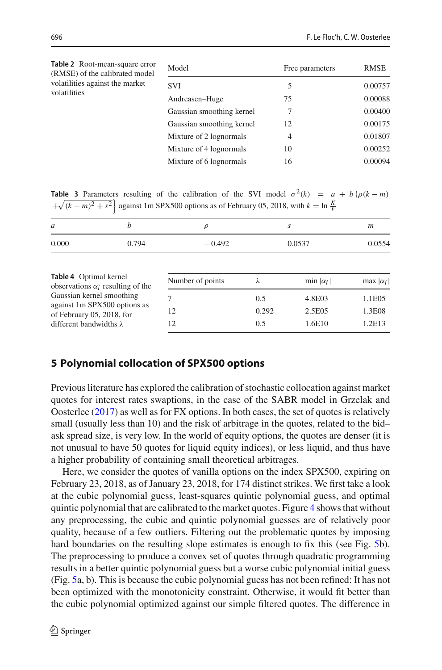<span id="page-17-1"></span>

| Table 2 Root-mean-square error<br>(RMSE) of the calibrated model | Model                     | Free parameters | RMSE    |
|------------------------------------------------------------------|---------------------------|-----------------|---------|
| volatilities against the market                                  | <b>SVI</b>                | 5               | 0.00757 |
| volatilities                                                     | Andreasen–Huge            | 75              | 0.00088 |
|                                                                  | Gaussian smoothing kernel | 7               | 0.00400 |
|                                                                  | Gaussian smoothing kernel | 12              | 0.00175 |
|                                                                  | Mixture of 2 lognormals   | $\overline{4}$  | 0.01807 |
|                                                                  | Mixture of 4 lognormals   | 10              | 0.00252 |
|                                                                  | Mixture of 6 lognormals   | 16              | 0.00094 |

<span id="page-17-2"></span>**Table 3** Parameters resulting of the calibration of the SVI model  $\sigma^2(k) = a + b \{ \rho(k - m) \}$  $+\sqrt{(k-m)^2 + s^2}$  against 1m SPX500 options as of February 05, 2018, with  $k = \ln \frac{K}{F}$ 

<span id="page-17-3"></span>

| $\mathfrak a$                                                                        | h | $\rho$           |       | S                | m                |  |
|--------------------------------------------------------------------------------------|---|------------------|-------|------------------|------------------|--|
| 0.000<br>0.794<br>Table 4 Optimal kernel<br>observations $\alpha_i$ resulting of the |   | $-0.492$         |       | 0.0537           |                  |  |
|                                                                                      |   | Number of points | λ     | min $ \alpha_i $ | max $ \alpha_i $ |  |
| Gaussian kernel smoothing                                                            |   | 7                | 0.5   | 4.8E03           | 1.1E05           |  |
| against 1m SPX500 options as<br>of February 05, 2018, for                            |   | 12               | 0.292 | 2.5E05           | 1.3E08           |  |
| different bandwidths $\lambda$                                                       |   | 12               | 0.5   | 1.6E10           | 1.2E13           |  |

### <span id="page-17-0"></span>**5 Polynomial collocation of SPX500 options**

Previous literature has explored the calibration of stochastic collocation against market quotes for interest rates swaptions, in the case of the SABR model in Grzelak and Oosterle[e](#page-35-4) [\(2017](#page-35-4)) as well as for FX options. In both cases, the set of quotes is relatively small (usually less than 10) and the risk of arbitrage in the quotes, related to the bid– ask spread size, is very low. In the world of equity options, the quotes are denser (it is not unusual to have 50 quotes for liquid equity indices), or less liquid, and thus have a higher probability of containing small theoretical arbitrages.

Here, we consider the quotes of vanilla options on the index SPX500, expiring on February 23, 2018, as of January 23, 2018, for 174 distinct strikes. We first take a look at the cubic polynomial guess, least-squares quintic polynomial guess, and optimal quintic polynomial that are calibrated to the market quotes. Figure [4](#page-18-0) shows that without any preprocessing, the cubic and quintic polynomial guesses are of relatively poor quality, because of a few outliers. Filtering out the problematic quotes by imposing hard boundaries on the resulting slope estimates is enough to fix this (see Fig. [5b](#page-18-1)). The preprocessing to produce a convex set of quotes through quadratic programming results in a better quintic polynomial guess but a worse cubic polynomial initial guess (Fig. [5a](#page-18-1), b). This is because the cubic polynomial guess has not been refined: It has not been optimized with the monotonicity constraint. Otherwise, it would fit better than the cubic polynomial optimized against our simple filtered quotes. The difference in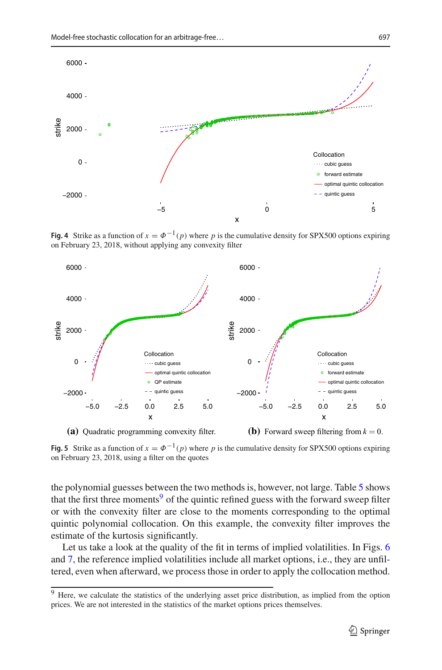

<span id="page-18-0"></span>**Fig. 4** Strike as a function of  $x = \Phi^{-1}(p)$  where p is the cumulative density for SPX500 options expiring on February 23, 2018, without applying any convexity filter



<span id="page-18-1"></span>**Fig. 5** Strike as a function of  $x = \Phi^{-1}(p)$  where *p* is the cumulative density for SPX500 options expiring on February 23, 2018, using a filter on the quotes

the polynomial guesses between the two methods is, however, not large. Table [5](#page-19-0) shows that the first three moments<sup>[9](#page-18-2)</sup> of the quintic refined guess with the forward sweep filter or with the convexity filter are close to the moments corresponding to the optimal quintic polynomial collocation. On this example, the convexity filter improves the estimate of the kurtosis significantly.

Let us take a look at the quality of the fit in terms of implied volatilities. In Figs. [6](#page-19-1) and [7,](#page-20-1) the reference implied volatilities include all market options, i.e., they are unfiltered, even when afterward, we process those in order to apply the collocation method.

<span id="page-18-2"></span><sup>&</sup>lt;sup>9</sup> Here, we calculate the statistics of the underlying asset price distribution, as implied from the option prices. We are not interested in the statistics of the market options prices themselves.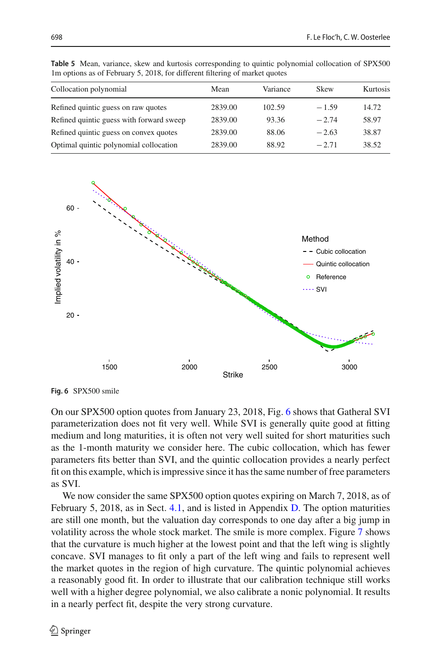| Collocation polynomial                   | Mean    | Variance | Skew    | Kurtosis |
|------------------------------------------|---------|----------|---------|----------|
| Refined quintic guess on raw quotes      | 2839.00 | 102.59   | $-1.59$ | 14.72    |
| Refined quintic guess with forward sweep | 2839.00 | 93.36    | $-2.74$ | 58.97    |
| Refined quintic guess on convex quotes   | 2839.00 | 88.06    | $-2.63$ | 38.87    |
| Optimal quintic polynomial collocation   | 2839.00 | 88.92    | $-2.71$ | 38.52    |

<span id="page-19-0"></span>**Table 5** Mean, variance, skew and kurtosis corresponding to quintic polynomial collocation of SPX500 1m options as of February 5, 2018, for different filtering of market quotes



<span id="page-19-1"></span>**Fig. 6** SPX500 smile

On our SPX500 option quotes from January 23, 2018, Fig. [6](#page-19-1) shows that Gatheral SVI parameterization does not fit very well. While SVI is generally quite good at fitting medium and long maturities, it is often not very well suited for short maturities such as the 1-month maturity we consider here. The cubic collocation, which has fewer parameters fits better than SVI, and the quintic collocation provides a nearly perfect fit on this example, which is impressive since it has the same number of free parameters as SVI.

We now consider the same SPX500 option quotes expiring on March 7, 2018, as of February 5, 2018, as in Sect. [4.1,](#page-12-2) and is listed in Appendix [D.](#page-12-0) The option maturities are still one month, but the valuation day corresponds to one day after a big jump in volatility across the whole stock market. The smile is more complex. Figure [7](#page-20-1) shows that the curvature is much higher at the lowest point and that the left wing is slightly concave. SVI manages to fit only a part of the left wing and fails to represent well the market quotes in the region of high curvature. The quintic polynomial achieves a reasonably good fit. In order to illustrate that our calibration technique still works well with a higher degree polynomial, we also calibrate a nonic polynomial. It results in a nearly perfect fit, despite the very strong curvature.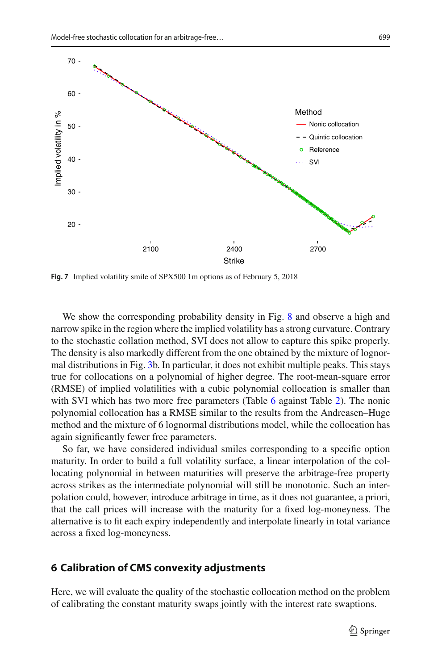

<span id="page-20-1"></span>**Fig. 7** Implied volatility smile of SPX500 1m options as of February 5, 2018

We show the corresponding probability density in Fig. [8](#page-21-0) and observe a high and narrow spike in the region where the implied volatility has a strong curvature. Contrary to the stochastic collation method, SVI does not allow to capture this spike properly. The density is also markedly different from the one obtained by the mixture of lognormal distributions in Fig. [3b](#page-16-0). In particular, it does not exhibit multiple peaks. This stays true for collocations on a polynomial of higher degree. The root-mean-square error (RMSE) of implied volatilities with a cubic polynomial collocation is smaller than with SVI which has two more free parameters (Table [6](#page-21-1) against Table [2\)](#page-17-1). The nonic polynomial collocation has a RMSE similar to the results from the Andreasen–Huge method and the mixture of 6 lognormal distributions model, while the collocation has again significantly fewer free parameters.

So far, we have considered individual smiles corresponding to a specific option maturity. In order to build a full volatility surface, a linear interpolation of the collocating polynomial in between maturities will preserve the arbitrage-free property across strikes as the intermediate polynomial will still be monotonic. Such an interpolation could, however, introduce arbitrage in time, as it does not guarantee, a priori, that the call prices will increase with the maturity for a fixed log-moneyness. The alternative is to fit each expiry independently and interpolate linearly in total variance across a fixed log-moneyness.

#### <span id="page-20-0"></span>**6 Calibration of CMS convexity adjustments**

Here, we will evaluate the quality of the stochastic collocation method on the problem of calibrating the constant maturity swaps jointly with the interest rate swaptions.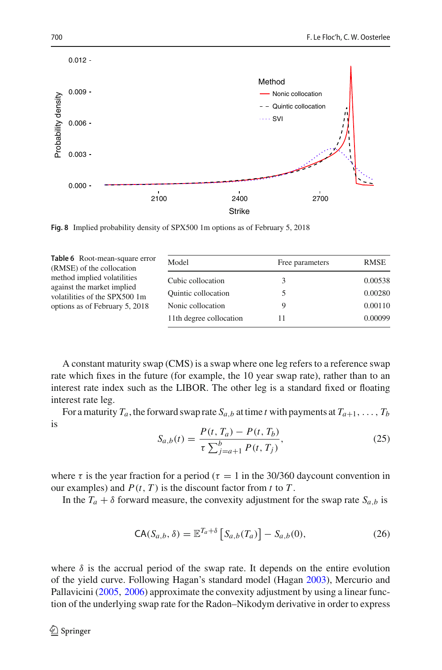

<span id="page-21-0"></span>**Fig. 8** Implied probability density of SPX500 1m options as of February 5, 2018

<span id="page-21-1"></span>

| Table 6 Root-mean-square error<br>(RMSE) of the collocation | Model                      | Free parameters | RMSE    |
|-------------------------------------------------------------|----------------------------|-----------------|---------|
| method implied volatilities                                 | Cubic collocation          |                 | 0.00538 |
| against the market implied<br>volatilities of the SPX500 1m | <b>Quintic collocation</b> |                 | 0.00280 |
| options as of February 5, 2018                              | Nonic collocation          |                 | 0.00110 |
|                                                             | 11th degree collocation    |                 | 0.00099 |

A constant maturity swap (CMS) is a swap where one leg refers to a reference swap rate which fixes in the future (for example, the 10 year swap rate), rather than to an interest rate index such as the LIBOR. The other leg is a standard fixed or floating interest rate leg.

For a maturity  $T_a$ , the forward swap rate  $S_{a,b}$  at time *t* with payments at  $T_{a+1}, \ldots, T_b$ is

$$
S_{a,b}(t) = \frac{P(t, T_a) - P(t, T_b)}{\tau \sum_{j=a+1}^{b} P(t, T_j)},
$$
\n(25)

where  $\tau$  is the year fraction for a period ( $\tau = 1$  in the 30/360 daycount convention in our examples) and  $P(t, T)$  is the discount factor from *t* to *T*.

In the  $T_a + \delta$  forward measure, the convexity adjustment for the swap rate  $S_{a,b}$  is

$$
\mathsf{CA}(S_{a,b}, \delta) = \mathbb{E}^{T_a + \delta} \left[ S_{a,b}(T_a) \right] - S_{a,b}(0),\tag{26}
$$

where  $\delta$  is the accrual period of the swap rate. It depends on the entire evolution of the yield curve. Following Hagan's standard model (Haga[n](#page-35-5) [2003\)](#page-35-5), Mercurio and Pallavicin[i](#page-35-24) [\(2005](#page-35-24), [2006\)](#page-35-25) approximate the convexity adjustment by using a linear function of the underlying swap rate for the Radon–Nikodym derivative in order to express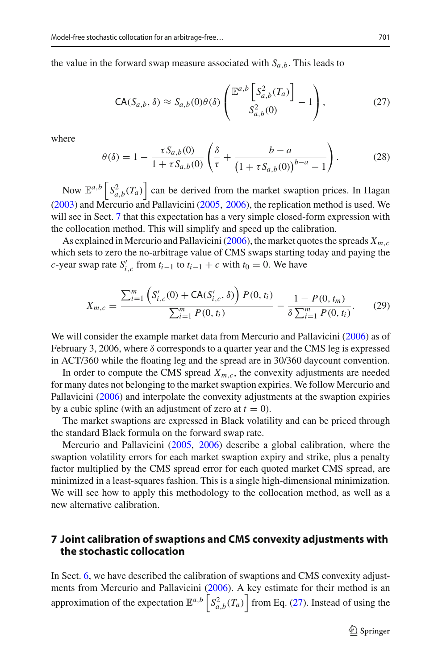the value in the forward swap measure associated with  $S_{a,b}$ . This leads to

<span id="page-22-1"></span>
$$
\mathsf{CA}(S_{a,b}, \delta) \approx S_{a,b}(0)\theta(\delta) \left( \frac{\mathbb{E}^{a,b} \left[ S_{a,b}^2(T_a) \right]}{S_{a,b}^2(0)} - 1 \right),\tag{27}
$$

where

$$
\theta(\delta) = 1 - \frac{\tau S_{a,b}(0)}{1 + \tau S_{a,b}(0)} \left( \frac{\delta}{\tau} + \frac{b - a}{\left( 1 + \tau S_{a,b}(0) \right)^{b - a} - 1} \right). \tag{28}
$$

Now  $\mathbb{E}^{a,b} \left[ S_{a,b}^2(T_a) \right]$  ca[n](#page-35-5) be derived from the market swaption prices. In Hagan [\(2003\)](#page-35-5) and Mercurio and Pallavicin[i](#page-35-24) [\(2005,](#page-35-24) [2006\)](#page-35-25), the replication method is used. We will see in Sect. [7](#page-22-0) that this expectation has a very simple closed-form expression with the collocation method. This will simplify and speed up the calibration.

As expla[i](#page-35-25)ned in Mercurio and Pallavicini [\(2006](#page-35-25)), the market quotes the spreads  $X_{m,c}$ which sets to zero the no-arbitrage value of CMS swaps starting today and paying the *c*-year swap rate  $S'_{i,c}$  from  $t_{i-1}$  to  $t_{i-1} + c$  with  $t_0 = 0$ . We have

$$
X_{m,c} = \frac{\sum_{i=1}^{m} \left( S'_{i,c}(0) + \text{CA}(S'_{i,c}, \delta) \right) P(0, t_i)}{\sum_{i=1}^{m} P(0, t_i)} - \frac{1 - P(0, t_m)}{\delta \sum_{i=1}^{m} P(0, t_i)}.
$$
 (29)

We w[i](#page-35-25)ll consider the example market data from Mercurio and Pallavicini [\(2006\)](#page-35-25) as of February 3, 2006, where  $\delta$  corresponds to a quarter year and the CMS leg is expressed in ACT/360 while the floating leg and the spread are in 30/360 daycount convention.

In order to compute the CMS spread  $X_{m,c}$ , the convexity adjustments are needed for many dates not belonging to the market swaption expiries. We follow Mercurio and Pallavicin[i](#page-35-25) [\(2006\)](#page-35-25) and interpolate the convexity adjustments at the swaption expiries by a cubic spline (with an adjustment of zero at  $t = 0$ ).

The market swaptions are expressed in Black volatility and can be priced through the standard Black formula on the forward swap rate.

Mercurio and Pallavicin[i](#page-35-24) [\(2005](#page-35-24), [2006\)](#page-35-25) describe a global calibration, where the swaption volatility errors for each market swaption expiry and strike, plus a penalty factor multiplied by the CMS spread error for each quoted market CMS spread, are minimized in a least-squares fashion. This is a single high-dimensional minimization. We will see how to apply this methodology to the collocation method, as well as a new alternative calibration.

### <span id="page-22-0"></span>**7 Joint calibration of swaptions and CMS convexity adjustments with the stochastic collocation**

In Sect. [6,](#page-20-0) we have described the calibration of swaptions and CMS convexity adjustments from Mercurio and Pallavicin[i](#page-35-25) [\(2006\)](#page-35-25). A key estimate for their method is an approximation of the expectation  $\mathbb{E}^{a,b} \left[ S_{a,b}^2(T_a) \right]$  from Eq. [\(27\)](#page-22-1). Instead of using the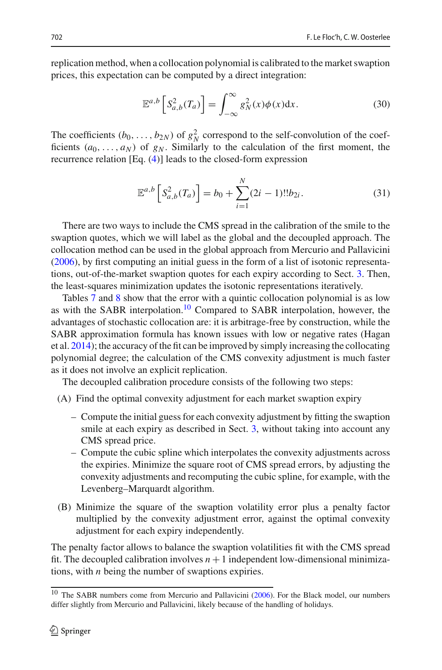replication method, when a collocation polynomial is calibrated to the market swaption prices, this expectation can be computed by a direct integration:

$$
\mathbb{E}^{a,b}\left[S_{a,b}^2(T_a)\right] = \int_{-\infty}^{\infty} g_N^2(x)\phi(x)dx.
$$
 (30)

The coefficients  $(b_0, \ldots, b_{2N})$  of  $g_N^2$  correspond to the self-convolution of the coefficients  $(a_0, \ldots, a_N)$  of  $g_N$ . Similarly to the calculation of the first moment, the recurrence relation [Eq. [\(4\)](#page-3-0)] leads to the closed-form expression

$$
\mathbb{E}^{a,b}\left[S_{a,b}^2(T_a)\right] = b_0 + \sum_{i=1}^N (2i-1)!!b_{2i}.
$$
 (31)

There are two ways to include the CMS spread in the calibration of the smile to the swaption quotes, which we will label as the global and the decoupled approach. The collocation method can be used in the global approach from Mercurio and Pallavicin[i](#page-35-25) [\(2006\)](#page-35-25), by first computing an initial guess in the form of a list of isotonic representations, out-of-the-market swaption quotes for each expiry according to Sect. [3.](#page-4-0) Then, the least-squares minimization updates the isotonic representations iteratively.

Tables [7](#page-24-0) and [8](#page-24-1) show that the error with a quintic collocation polynomial is as low as with the SABR interpolation[.10](#page-23-0) Compared to SABR interpolation, however, the advantages of stochastic collocation are: it is arbitrage-free by construction, while the SABR approximation formula has known issues with low or negative rates (Hagan et al[.](#page-35-3) [2014\)](#page-35-3); the accuracy of the fit can be improved by simply increasing the collocating polynomial degree; the calculation of the CMS convexity adjustment is much faster as it does not involve an explicit replication.

The decoupled calibration procedure consists of the following two steps:

- (A) Find the optimal convexity adjustment for each market swaption expiry
	- Compute the initial guess for each convexity adjustment by fitting the swaption smile at each expiry as described in Sect. [3,](#page-4-0) without taking into account any CMS spread price.
	- Compute the cubic spline which interpolates the convexity adjustments across the expiries. Minimize the square root of CMS spread errors, by adjusting the convexity adjustments and recomputing the cubic spline, for example, with the Levenberg–Marquardt algorithm.
- (B) Minimize the square of the swaption volatility error plus a penalty factor multiplied by the convexity adjustment error, against the optimal convexity adjustment for each expiry independently.

The penalty factor allows to balance the swaption volatilities fit with the CMS spread fit. The decoupled calibration involves  $n+1$  independent low-dimensional minimizations, with *n* being the number of swaptions expiries.

<span id="page-23-0"></span><sup>&</sup>lt;sup>10</sup> The SABR numbers come from Mercur[i](#page-35-25)o and Pallavicini [\(2006\)](#page-35-25). For the Black model, our numbers differ slightly from Mercurio and Pallavicini, likely because of the handling of holidays.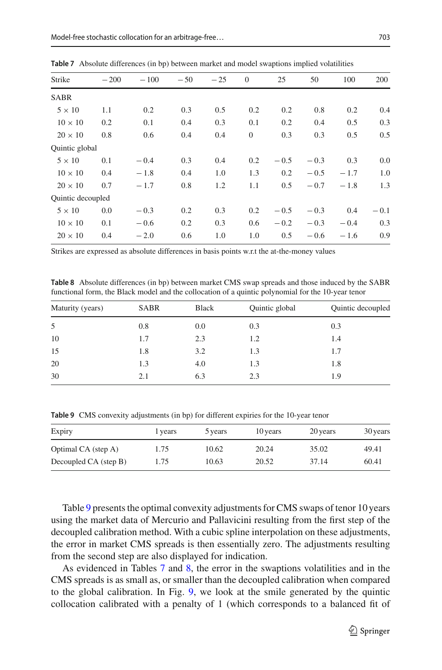| Strike            | $-200$ | $-100$ | $-50$ | $-25$ | $\theta$ | 25     | 50     | 100    | 200    |
|-------------------|--------|--------|-------|-------|----------|--------|--------|--------|--------|
| <b>SABR</b>       |        |        |       |       |          |        |        |        |        |
| $5 \times 10$     | 1.1    | 0.2    | 0.3   | 0.5   | 0.2      | 0.2    | 0.8    | 0.2    | 0.4    |
| $10 \times 10$    | 0.2    | 0.1    | 0.4   | 0.3   | 0.1      | 0.2    | 0.4    | 0.5    | 0.3    |
| $20 \times 10$    | 0.8    | 0.6    | 0.4   | 0.4   | $\theta$ | 0.3    | 0.3    | 0.5    | 0.5    |
| Quintic global    |        |        |       |       |          |        |        |        |        |
| $5 \times 10$     | 0.1    | $-0.4$ | 0.3   | 0.4   | 0.2      | $-0.5$ | $-0.3$ | 0.3    | 0.0    |
| $10 \times 10$    | 0.4    | $-1.8$ | 0.4   | 1.0   | 1.3      | 0.2    | $-0.5$ | $-1.7$ | 1.0    |
| $20 \times 10$    | 0.7    | $-1.7$ | 0.8   | 1.2   | 1.1      | 0.5    | $-0.7$ | $-1.8$ | 1.3    |
| Quintic decoupled |        |        |       |       |          |        |        |        |        |
| $5 \times 10$     | 0.0    | $-0.3$ | 0.2   | 0.3   | 0.2      | $-0.5$ | $-0.3$ | 0.4    | $-0.1$ |
| $10 \times 10$    | 0.1    | $-0.6$ | 0.2   | 0.3   | 0.6      | $-0.2$ | $-0.3$ | $-0.4$ | 0.3    |
| $20 \times 10$    | 0.4    | $-2.0$ | 0.6   | 1.0   | 1.0      | 0.5    | $-0.6$ | $-1.6$ | 0.9    |
|                   |        |        |       |       |          |        |        |        |        |

<span id="page-24-0"></span>**Table 7** Absolute differences (in bp) between market and model swaptions implied volatilities

Strikes are expressed as absolute differences in basis points w.r.t the at-the-money values

<span id="page-24-1"></span>**Table 8** Absolute differences (in bp) between market CMS swap spreads and those induced by the SABR functional form, the Black model and the collocation of a quintic polynomial for the 10-year tenor

| Maturity (years) | <b>SABR</b> | Black | Quintic global | Quintic decoupled |
|------------------|-------------|-------|----------------|-------------------|
| 5                | 0.8         | 0.0   | 0.3            | 0.3               |
| 10               | 1.7         | 2.3   | 1.2            | 1.4               |
| 15               | 1.8         | 3.2   | 1.3            | 1.7               |
| 20               | 1.3         | 4.0   | 1.3            | 1.8               |
| 30               | 2.1         | 6.3   | 2.3            | 1.9               |
|                  |             |       |                |                   |

<span id="page-24-2"></span>**Table 9** CMS convexity adjustments (in bp) for different expiries for the 10-year tenor

| Expiry                | l vears | 5 years | 10 years | 20 years | 30 years |
|-----------------------|---------|---------|----------|----------|----------|
| Optimal CA (step A)   | 1.75    | 10.62   | 20.24    | 35.02    | 49.41    |
| Decoupled CA (step B) | 1.75    | 10.63   | 20.52    | 37.14    | 60.41    |

Table [9](#page-24-2) presents the optimal convexity adjustments for CMS swaps of tenor 10 years using the market data of Mercurio and Pallavicini resulting from the first step of the decoupled calibration method. With a cubic spline interpolation on these adjustments, the error in market CMS spreads is then essentially zero. The adjustments resulting from the second step are also displayed for indication.

As evidenced in Tables [7](#page-24-0) and [8,](#page-24-1) the error in the swaptions volatilities and in the CMS spreads is as small as, or smaller than the decoupled calibration when compared to the global calibration. In Fig. [9,](#page-25-1) we look at the smile generated by the quintic collocation calibrated with a penalty of 1 (which corresponds to a balanced fit of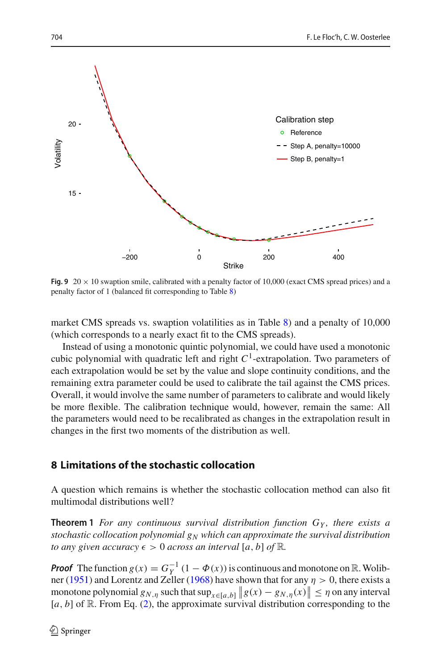

<span id="page-25-1"></span>**Fig. 9**  $20 \times 10$  swaption smile, calibrated with a penalty factor of 10,000 (exact CMS spread prices) and a penalty factor of 1 (balanced fit corresponding to Table [8\)](#page-24-1)

market CMS spreads vs. swaption volatilities as in Table [8\)](#page-24-1) and a penalty of 10,000 (which corresponds to a nearly exact fit to the CMS spreads).

Instead of using a monotonic quintic polynomial, we could have used a monotonic cubic polynomial with quadratic left and right  $C<sup>1</sup>$ -extrapolation. Two parameters of each extrapolation would be set by the value and slope continuity conditions, and the remaining extra parameter could be used to calibrate the tail against the CMS prices. Overall, it would involve the same number of parameters to calibrate and would likely be more flexible. The calibration technique would, however, remain the same: All the parameters would need to be recalibrated as changes in the extrapolation result in changes in the first two moments of the distribution as well.

### <span id="page-25-0"></span>**8 Limitations of the stochastic collocation**

A question which remains is whether the stochastic collocation method can also fit multimodal distributions well?

**Theorem 1** *For any continuous survival distribution function GY , there exists a stochastic collocation polynomial gN which can approximate the survival distribution to any given accuracy*  $\epsilon > 0$  *across an interval* [a, b] of R.

*Proof* The function  $g(x) = G_Y^{-1}(1 - \Phi(x))$  is continuous and monotone on R. Wolibne[r](#page-35-27) [\(1951\)](#page-35-26) and Lorentz and Zeller [\(1968\)](#page-35-27) have shown that for any  $\eta > 0$ , there exists a monotone polynomial  $g_{N,\eta}$  such that  $\sup_{x \in [a,b]} \|g(x) - g_{N,\eta}(x)\| \leq \eta$  on any interval [*a*, *b*] of R. From Eq. [\(2\)](#page-2-2), the approximate survival distribution corresponding to the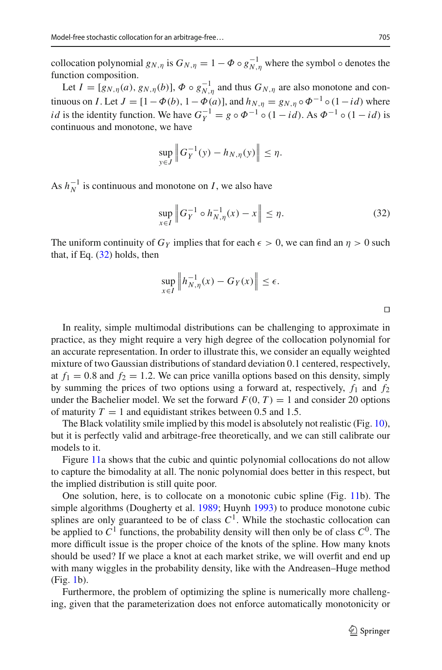collocation polynomial  $g_{N,\eta}$  is  $G_{N,\eta} = 1 - \Phi \circ g_{N,\eta}^{-1}$  where the symbol  $\circ$  denotes the function composition.

Let  $I = [g_{N,\eta}(a), g_{N,\eta}(b)], \Phi \circ g_{N,\eta}^{-1}$  and thus  $G_{N,\eta}$  are also monotone and continuous on *I*. Let  $J = [1 - \Phi(b), 1 - \Phi(a)]$ , and  $h_{N,n} = g_{N,n} \circ \Phi^{-1} \circ (1 - id)$  where *id* is the identity function. We have  $G_Y^{-1} = g \circ \Phi^{-1} \circ (1 - id)$ . As  $\Phi^{-1} \circ (1 - id)$  is continuous and monotone, we have

$$
\sup_{y \in J} \left\| G_Y^{-1}(y) - h_{N,\eta}(y) \right\| \le \eta.
$$

As  $h_N^{-1}$  is continuous and monotone on *I*, we also have

<span id="page-26-0"></span>
$$
\sup_{x \in I} \|G_Y^{-1} \circ h_{N,\eta}^{-1}(x) - x\| \le \eta. \tag{32}
$$

The uniform continuity of  $G_Y$  implies that for each  $\epsilon > 0$ , we can find an  $\eta > 0$  such that, if Eq.  $(32)$  holds, then

$$
\sup_{x \in I} \left\| h_{N,\eta}^{-1}(x) - G_Y(x) \right\| \le \epsilon.
$$

 $\Box$ 

In reality, simple multimodal distributions can be challenging to approximate in practice, as they might require a very high degree of the collocation polynomial for an accurate representation. In order to illustrate this, we consider an equally weighted mixture of two Gaussian distributions of standard deviation 0.1 centered, respectively, at  $f_1 = 0.8$  and  $f_2 = 1.2$ . We can price vanilla options based on this density, simply by summing the prices of two options using a forward at, respectively,  $f_1$  and  $f_2$ under the Bachelier model. We set the forward  $F(0, T) = 1$  and consider 20 options of maturity  $T = 1$  and equidistant strikes between 0.5 and 1.5.

The Black volatility smile implied by this model is absolutely not realistic (Fig. [10\)](#page-27-0), but it is perfectly valid and arbitrage-free theoretically, and we can still calibrate our models to it.

Figure [11a](#page-27-1) shows that the cubic and quintic polynomial collocations do not allow to capture the bimodality at all. The nonic polynomial does better in this respect, but the implied distribution is still quite poor.

One solution, here, is to collocate on a monotonic cubic spline (Fig. [11b](#page-27-1)). The simple algorithms (Dougherty et al[.](#page-34-15) [1989;](#page-34-15) Huyn[h](#page-35-28) [1993](#page-35-28)) to produce monotone cubic splines are only guaranteed to be of class  $C<sup>1</sup>$ . While the stochastic collocation can be applied to  $C^1$  functions, the probability density will then only be of class  $C^0$ . The more difficult issue is the proper choice of the knots of the spline. How many knots should be used? If we place a knot at each market strike, we will overfit and end up with many wiggles in the probability density, like with the Andreasen–Huge method (Fig. [1b](#page-13-0)).

Furthermore, the problem of optimizing the spline is numerically more challenging, given that the parameterization does not enforce automatically monotonicity or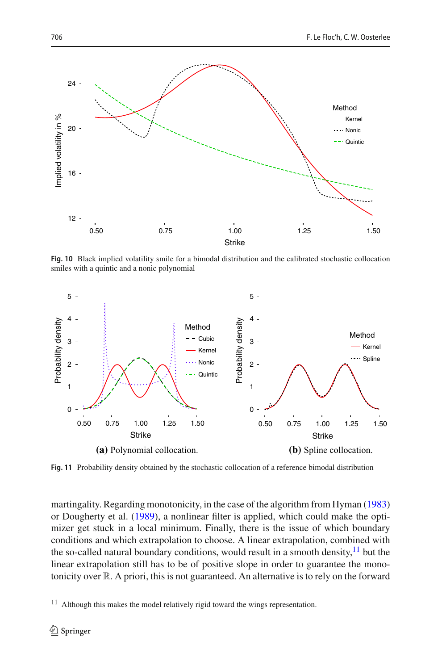

<span id="page-27-0"></span>**Fig. 10** Black implied volatility smile for a bimodal distribution and the calibrated stochastic collocation smiles with a quintic and a nonic polynomial



<span id="page-27-1"></span>**Fig. 11** Probability density obtained by the stochastic collocation of a reference bimodal distribution

martingality. Regarding monotonicity, in the case of the algorithm from Hyma[n](#page-35-29) [\(1983\)](#page-35-29) or Dougherty et al[.](#page-34-15) [\(1989\)](#page-34-15), a nonlinear filter is applied, which could make the optimizer get stuck in a local minimum. Finally, there is the issue of which boundary conditions and which extrapolation to choose. A linear extrapolation, combined with the so-called natural boundary conditions, would result in a smooth density, $^{11}$  but the linear extrapolation still has to be of positive slope in order to guarantee the monotonicity over R. A priori, this is not guaranteed. An alternative is to rely on the forward

<span id="page-27-2"></span>Although this makes the model relatively rigid toward the wings representation.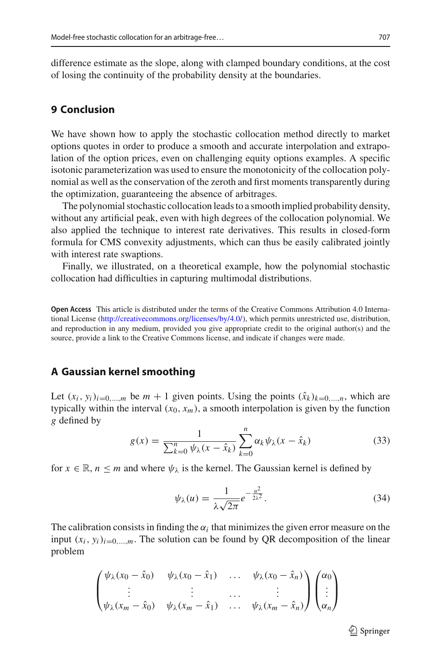difference estimate as the slope, along with clamped boundary conditions, at the cost of losing the continuity of the probability density at the boundaries.

#### **9 Conclusion**

We have shown how to apply the stochastic collocation method directly to market options quotes in order to produce a smooth and accurate interpolation and extrapolation of the option prices, even on challenging equity options examples. A specific isotonic parameterization was used to ensure the monotonicity of the collocation polynomial as well as the conservation of the zeroth and first moments transparently during the optimization, guaranteeing the absence of arbitrages.

The polynomial stochastic collocation leads to a smooth implied probability density, without any artificial peak, even with high degrees of the collocation polynomial. We also applied the technique to interest rate derivatives. This results in closed-form formula for CMS convexity adjustments, which can thus be easily calibrated jointly with interest rate swaptions.

Finally, we illustrated, on a theoretical example, how the polynomial stochastic collocation had difficulties in capturing multimodal distributions.

**Open Access** This article is distributed under the terms of the Creative Commons Attribution 4.0 International License [\(http://creativecommons.org/licenses/by/4.0/\)](http://creativecommons.org/licenses/by/4.0/), which permits unrestricted use, distribution, and reproduction in any medium, provided you give appropriate credit to the original author(s) and the source, provide a link to the Creative Commons license, and indicate if changes were made.

#### **A Gaussian kernel smoothing**

Let  $(x_i, y_i)_{i=0,\dots,m}$  be  $m+1$  given points. Using the points  $(\hat{x}_k)_{k=0,\dots,n}$ , which are typically within the interval  $(x_0, x_m)$ , a smooth interpolation is given by the function *g* defined by

$$
g(x) = \frac{1}{\sum_{k=0}^{n} \psi_{\lambda}(x - \hat{x}_k)} \sum_{k=0}^{n} \alpha_k \psi_{\lambda}(x - \hat{x}_k)
$$
 (33)

for  $x \in \mathbb{R}$ ,  $n \le m$  and where  $\psi_{\lambda}$  is the kernel. The Gaussian kernel is defined by

$$
\psi_{\lambda}(u) = \frac{1}{\lambda \sqrt{2\pi}} e^{-\frac{u^2}{2\lambda^2}}.
$$
\n(34)

The calibration consists in finding the  $\alpha_i$  that minimizes the given error measure on the input  $(x_i, y_i)_{i=0,\dots,m}$ . The solution can be found by QR decomposition of the linear problem

$$
\begin{pmatrix}\n\psi_{\lambda}(x_0 - \hat{x}_0) & \psi_{\lambda}(x_0 - \hat{x}_1) & \dots & \psi_{\lambda}(x_0 - \hat{x}_n) \\
\vdots & \vdots & \dots & \vdots \\
\psi_{\lambda}(x_m - \hat{x}_0) & \psi_{\lambda}(x_m - \hat{x}_1) & \dots & \psi_{\lambda}(x_m - \hat{x}_n)\n\end{pmatrix}\n\begin{pmatrix}\n\alpha_0 \\
\vdots \\
\alpha_n\n\end{pmatrix}
$$

 $\mathcal{D}$  Springer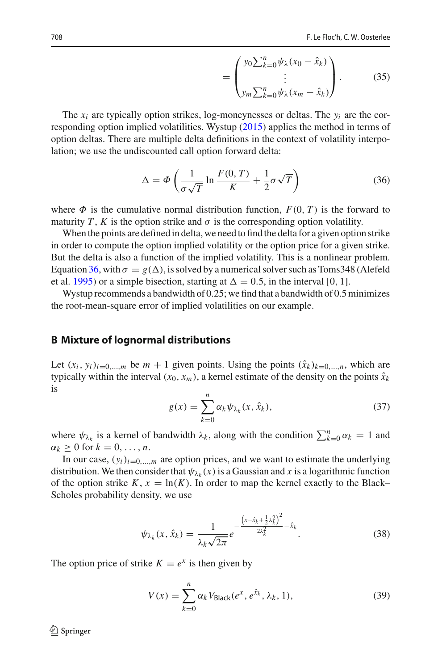$$
= \begin{pmatrix} y_0 \sum_{k=0}^n \psi_\lambda (x_0 - \hat{x}_k) \\ \vdots \\ y_m \sum_{k=0}^n \psi_\lambda (x_m - \hat{x}_k) \end{pmatrix} . \tag{35}
$$

The  $x_i$  are typically option strikes, log-moneynesses or deltas. The  $y_i$  are the corresponding option implied volatilities. Wystu[p](#page-35-21) [\(2015](#page-35-21)) applies the method in terms of option deltas. There are multiple delta definitions in the context of volatility interpolation; we use the undiscounted call option forward delta:

<span id="page-29-0"></span>
$$
\Delta = \Phi \left( \frac{1}{\sigma \sqrt{T}} \ln \frac{F(0, T)}{K} + \frac{1}{2} \sigma \sqrt{T} \right)
$$
(36)

where  $\Phi$  is the cumulative normal distribution function,  $F(0, T)$  is the forward to maturity *T*, *K* is the option strike and  $\sigma$  is the corresponding option volatility.

When the points are defined in delta, we need to find the delta for a given option strike in order to compute the option implied volatility or the option price for a given strike. But the delta is also a function of the implied volatility. This is a nonlinear problem. Equation [36,](#page-29-0) with  $\sigma = g(\Delta)$ , is solved by a numerical solver such as Toms 348 (Alefeld et al[.](#page-34-16) [1995\)](#page-34-16) or a simple bisection, starting at  $\Delta = 0.5$ , in the interval [0, 1].

Wystup recommends a bandwidth of 0.25; we find that a bandwidth of 0.5 minimizes the root-mean-square error of implied volatilities on our example.

#### **B Mixture of lognormal distributions**

Let  $(x_i, y_i)_{i=0,\dots,m}$  be  $m+1$  given points. Using the points  $(\hat{x}_k)_{k=0,\dots,n}$ , which are typically within the interval  $(x_0, x_m)$ , a kernel estimate of the density on the points  $\hat{x}_k$ is

$$
g(x) = \sum_{k=0}^{n} \alpha_k \psi_{\lambda_k}(x, \hat{x}_k), \qquad (37)
$$

where  $\psi_{\lambda_k}$  is a kernel of bandwidth  $\lambda_k$ , along with the condition  $\sum_{k=0}^n \alpha_k = 1$  and  $\alpha_k \geq 0$  for  $k = 0, \ldots, n$ .

In our case,  $(y_i)_{i=0,\dots,m}$  are option prices, and we want to estimate the underlying distribution. We then consider that  $\psi_{\lambda_k}(x)$  is a Gaussian and x is a logarithmic function of the option strike  $K$ ,  $x = \ln(K)$ . In order to map the kernel exactly to the Black– Scholes probability density, we use

$$
\psi_{\lambda_k}(x,\hat{x}_k) = \frac{1}{\lambda_k \sqrt{2\pi}} e^{-\frac{\left(x - \hat{x}_k + \frac{1}{2}\lambda_k^2\right)^2}{2\lambda_k^2} - \hat{x}_k}.
$$
\n(38)

The option price of strike  $K = e^x$  is then given by

$$
V(x) = \sum_{k=0}^{n} \alpha_k V_{\text{Black}}(e^x, e^{\hat{x}_k}, \lambda_k, 1),
$$
 (39)

 $\textcircled{2}$  Springer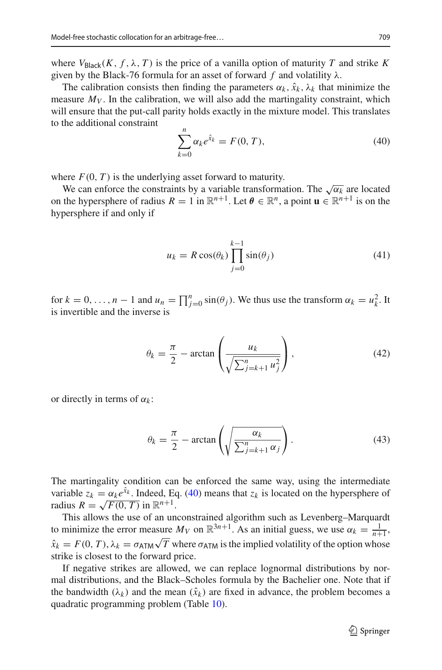where  $V_{\text{Black}}(K, f, \lambda, T)$  is the price of a vanilla option of maturity *T* and strike *K* given by the Black-76 formula for an asset of forward  $f$  and volatility  $\lambda$ .

The calibration consists then finding the parameters  $\alpha_k$ ,  $\hat{x}_k$ ,  $\lambda_k$  that minimize the measure  $M_V$ . In the calibration, we will also add the martingality constraint, which will ensure that the put-call parity holds exactly in the mixture model. This translates to the additional constraint

<span id="page-30-0"></span>
$$
\sum_{k=0}^{n} \alpha_k e^{\hat{x}_k} = F(0, T),
$$
\n(40)

where  $F(0, T)$  is the underlying asset forward to maturity.

We can enforce the constraints by a variable transformation. The  $\sqrt{\alpha_k}$  are located on the hypersphere of radius  $R = 1$  in  $\mathbb{R}^{n+1}$ . Let  $\theta \in \mathbb{R}^n$ , a point  $\mathbf{u} \in \mathbb{R}^{n+1}$  is on the hypersphere if and only if

$$
u_k = R\cos(\theta_k) \prod_{j=0}^{k-1} \sin(\theta_j)
$$
 (41)

for  $k = 0, \ldots, n - 1$  and  $u_n = \prod_{j=0}^n \sin(\theta_j)$ . We thus use the transform  $\alpha_k = u_k^2$ . It is invertible and the inverse is

$$
\theta_k = \frac{\pi}{2} - \arctan\left(\frac{u_k}{\sqrt{\sum_{j=k+1}^n u_j^2}}\right),\tag{42}
$$

or directly in terms of  $\alpha_k$ :

$$
\theta_k = \frac{\pi}{2} - \arctan\left(\sqrt{\frac{\alpha_k}{\sum_{j=k+1}^n \alpha_j}}\right). \tag{43}
$$

The martingality condition can be enforced the same way, using the intermediate variable  $z_k = \alpha_k e^{\hat{x}_k}$ . Indeed, Eq. [\(40\)](#page-30-0) means that  $z_k$  is located on the hypersphere of radius  $R = \sqrt{F(0, T)}$  in  $\mathbb{R}^{n+1}$ .

This allows the use of an unconstrained algorithm such as Levenberg–Marquardt to minimize the error measure  $M_V$  on  $\mathbb{R}^{3n+1}$ . As an initial guess, we use  $\alpha_k = \frac{1}{n+1}$ ,  $\hat{x}_k = F(0, T), \lambda_k = \sigma_{ATM} \sqrt{T}$  where  $\sigma_{ATM}$  is the implied volatility of the option whose strike is closest to the forward price.

If negative strikes are allowed, we can replace lognormal distributions by normal distributions, and the Black–Scholes formula by the Bachelier one. Note that if the bandwidth  $(\lambda_k)$  and the mean  $(\hat{x}_k)$  are fixed in advance, the problem becomes a quadratic programming problem (Table [10\)](#page-31-0).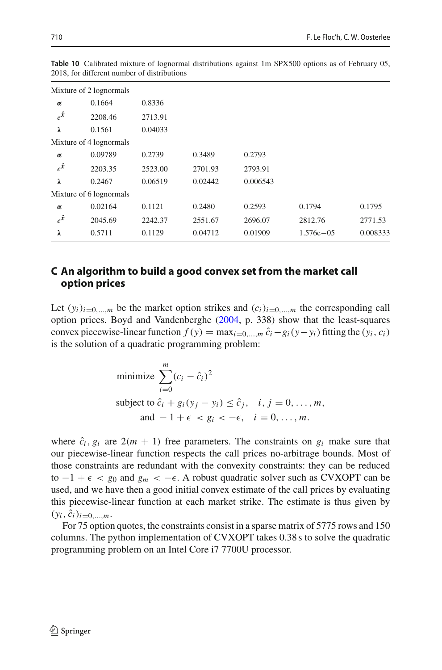|               | Mixture of 2 lognormals |         |         |          |               |          |
|---------------|-------------------------|---------|---------|----------|---------------|----------|
| $\alpha$      | 0.1664                  | 0.8336  |         |          |               |          |
| $e^{\hat{x}}$ | 2208.46                 | 2713.91 |         |          |               |          |
| λ             | 0.1561                  | 0.04033 |         |          |               |          |
|               | Mixture of 4 lognormals |         |         |          |               |          |
| $\alpha$      | 0.09789                 | 0.2739  | 0.3489  | 0.2793   |               |          |
| $e^{\hat{x}}$ | 2203.35                 | 2523.00 | 2701.93 | 2793.91  |               |          |
| λ             | 0.2467                  | 0.06519 | 0.02442 | 0.006543 |               |          |
|               | Mixture of 6 lognormals |         |         |          |               |          |
| $\alpha$      | 0.02164                 | 0.1121  | 0.2480  | 0.2593   | 0.1794        | 0.1795   |
| $e^{\hat{x}}$ | 2045.69                 | 2242.37 | 2551.67 | 2696.07  | 2812.76       | 2771.53  |
| λ             | 0.5711                  | 0.1129  | 0.04712 | 0.01909  | $1.576e - 05$ | 0.008333 |

<span id="page-31-0"></span>**Table 10** Calibrated mixture of lognormal distributions against 1m SPX500 options as of February 05, 2018, for different number of distributions

### **C An algorithm to build a good convex set from the market call option prices**

Let  $(y_i)_{i=0,\dots,m}$  be the market option strikes and  $(c_i)_{i=0,\dots,m}$  the corresponding call option prices. Boyd and Vandenberghe [\(2004,](#page-34-17) p. 338) show that the least-squares convex piecewise-linear function  $f(y) = \max_{i=0,\dots,m} \hat{c}_i - g_i(y - y_i)$  fitting the  $(y_i, c_i)$ is the solution of a quadratic programming problem:

minimize 
$$
\sum_{i=0}^{m} (c_i - \hat{c}_i)^2
$$
  
subject to  $\hat{c}_i + g_i(y_j - y_i) \leq \hat{c}_j$ ,  $i, j = 0, ..., m$ ,  
and  $-1 + \epsilon < g_i < -\epsilon$ ,  $i = 0, ..., m$ .

where  $\hat{c}_i$ ,  $g_i$  are  $2(m + 1)$  free parameters. The constraints on  $g_i$  make sure that our piecewise-linear function respects the call prices no-arbitrage bounds. Most of those constraints are redundant with the convexity constraints: they can be reduced to  $-1 + \epsilon < g_0$  and  $g_m < -\epsilon$ . A robust quadratic solver such as CVXOPT can be used, and we have then a good initial convex estimate of the call prices by evaluating this piecewise-linear function at each market strike. The estimate is thus given by  $(y_i, \hat{c}_i)_{i=0,...,m}$ .

For 75 option quotes, the constraints consist in a sparse matrix of 5775 rows and 150 columns. The python implementation of CVXOPT takes 0.38 s to solve the quadratic programming problem on an Intel Core i7 7700U processor.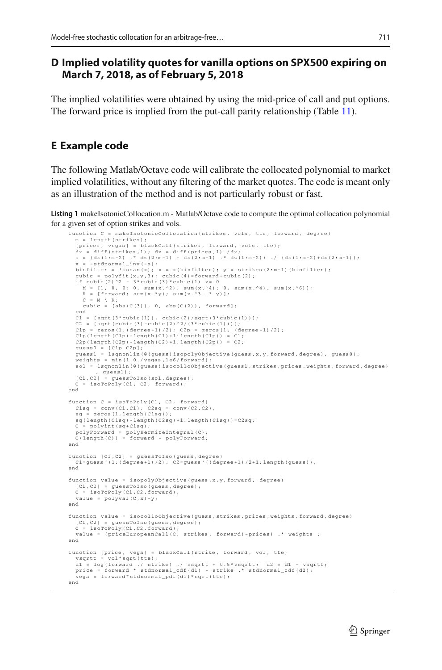# **D Implied volatility quotes for vanilla options on SPX500 expiring on March 7, 2018, as of February 5, 2018**

The implied volatilities were obtained by using the mid-price of call and put options. The forward price is implied from the put-call parity relationship (Table [11\)](#page-33-0).

# **E Example code**

The following Matlab/Octave code will calibrate the collocated polynomial to market implied volatilities, without any filtering of the market quotes. The code is meant only as an illustration of the method and is not particularly robust or fast.

**Listing 1** makeIsotonicCollocation.m - Matlab/Octave code to compute the optimal collocation polynomial for a given set of option strikes and vols.

```
function C = makeIsotonicCollocation( strikes , vols , tte , forward , degree)
  m = length(strikes);
  [prices , vegas] = blackCall( strikes , forward , vols , tte);
   dx = diff(strikes ,1); dz = diff(prices ,1)./dx;
s = (dx(1:m-2) .* dz(2:m-1) + dx(2:m-1) .* dz(1:m-2)) ./ (dx(1:m-2)+dx(2:m-1));
        -stdnormal_inv(-s);
   binfilter = !isnan(x); x = x(binfilter); y = strikes(2:m-1)(binfilter);<br>cubic = polyfit(x,y,3); cubic(4)=forward-cubic(2);<br>if cubic(2)^2 - 3*cubic(3)*cubic(1) >= 0
     M = [1, 0, 0; 0, \text{sum}(x.^2), \text{sum}(x.^4); 0, \text{sum}(x.^4), \text{sum}(x.^6)];
    R = [forward; sum(x.*y); sum(x.^3; * y)];
    C = M \setminus R;cubic = [abs(C(3)), 0, abs(C(2)), forward];
  end
  C1 = [sqrt(3*cubic(1)), cubic(2)/sqrt(3*cubic(1))];
  c2 = [sqrt(cubic(3)-cubic(2)^2/(3* cubic(1)))];<br>c1p = zeros(1,(degree+1)/2); c2p = zeros(1,(degree-1)/2);
  C1p = zeros(1, (degree +1)/2); C2p = zeros(1,C1p(length(C1p)-length(C1)+1:length(C1p)) = C1;C2p(length(C2p) - length(C2) + 1: length(C2p)) = C2;guess0 = [C1p C2p];guess1 = lsqnonlin(@(guess)isopolyObjective(guess,x,y,forward,degree), guess0);
  weights = min(1.0./vegas,1e6/forward)sol = lsqnonlin(@(guess)isocolloObjective(guess1, strikes, prices, weights, forward, degree)
   , guess1);
[C1 ,C2] = guessToIso (sol ,degree);
    = isoToPoly(C1, C2, forward);
end
function C = isoToPoly(C1 , C2 , forward)
  C1sq = conv(C1, C1); C2sq = conv(C2, C2);sq = zeros(1.length(C1sq));sq(length(C1sq)-length(C2sq )+1:length(C1sq ))=C2sq;
     = polyint (sq+C1sq);
  polyForward = polyHermiteIntegral(C);
  C(length(C)) = forward - polyForward;
end
function [C1 ,C2] = guessToIso(guess , degree)
  C1=guess '(1:( degree+1)/2); C2=guess '(( degree+1)/2+1:length(guess));
end
function value = isopolyObjective(guess ,x,y,forward , degree)
  [C1, C2] = \text{guessToIso}(\text{guess}, \text{degree});
   C = isoToPoly(C1 ,C2 ,forward);
value = polyval(C,x)-y;
end
function value = isocolloObjective(guess , strikes ,prices ,weights ,forward , degree)
  [C1 ,C2] = guessToIso(guess , degree);
   C = isoToPoly(C1 ,C2 ,forward);
value = ( priceEuropeanCall(C, strikes , forward)-prices) .* weights ;
end
function [price, vega] = blackCall(strike, forward, vol, tte)<br>vsqrtt = vol*sqrt(tte);
             vol*sqrt(tte);dl = log(forward ./ strike) ./ vsqrtt + 0.5*vsqrtt;  d2 = d1 - vsqrtt;<br>price = forward * stdnormal_cdf(d1) - strike .* stdnormal_cdf(d2);<br>vega = forward*stdnormal_pdf(d1)*sqrt(tte);
end
```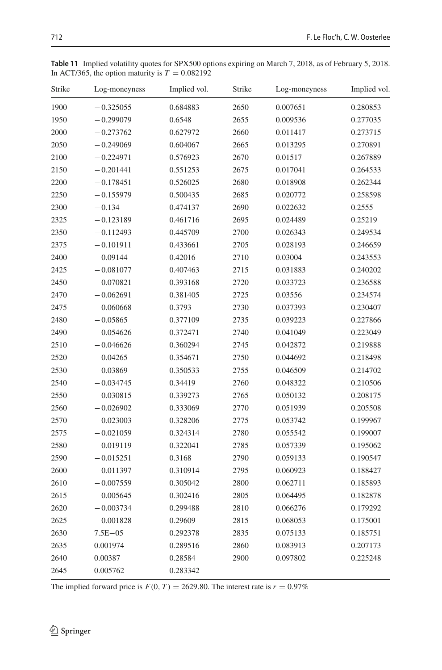| Strike |               |              |        |               |              |
|--------|---------------|--------------|--------|---------------|--------------|
|        | Log-moneyness | Implied vol. | Strike | Log-moneyness | Implied vol. |
| 1900   | $-0.325055$   | 0.684883     | 2650   | 0.007651      | 0.280853     |
| 1950   | $-0.299079$   | 0.6548       | 2655   | 0.009536      | 0.277035     |
| 2000   | $-0.273762$   | 0.627972     | 2660   | 0.011417      | 0.273715     |
| 2050   | $-0.249069$   | 0.604067     | 2665   | 0.013295      | 0.270891     |
| 2100   | $-0.224971$   | 0.576923     | 2670   | 0.01517       | 0.267889     |
| 2150   | $-0.201441$   | 0.551253     | 2675   | 0.017041      | 0.264533     |
| 2200   | $-0.178451$   | 0.526025     | 2680   | 0.018908      | 0.262344     |
| 2250   | $-0.155979$   | 0.500435     | 2685   | 0.020772      | 0.258598     |
| 2300   | $-0.134$      | 0.474137     | 2690   | 0.022632      | 0.2555       |
| 2325   | $-0.123189$   | 0.461716     | 2695   | 0.024489      | 0.25219      |
| 2350   | $-0.112493$   | 0.445709     | 2700   | 0.026343      | 0.249534     |
| 2375   | $-0.101911$   | 0.433661     | 2705   | 0.028193      | 0.246659     |
| 2400   | $-0.09144$    | 0.42016      | 2710   | 0.03004       | 0.243553     |
| 2425   | $-0.081077$   | 0.407463     | 2715   | 0.031883      | 0.240202     |
| 2450   | $-0.070821$   | 0.393168     | 2720   | 0.033723      | 0.236588     |
| 2470   | $-0.062691$   | 0.381405     | 2725   | 0.03556       | 0.234574     |
| 2475   | $-0.060668$   | 0.3793       | 2730   | 0.037393      | 0.230407     |
| 2480   | $-0.05865$    | 0.377109     | 2735   | 0.039223      | 0.227866     |
| 2490   | $-0.054626$   | 0.372471     | 2740   | 0.041049      | 0.223049     |
| 2510   | $-0.046626$   | 0.360294     | 2745   | 0.042872      | 0.219888     |
| 2520   | $-0.04265$    | 0.354671     | 2750   | 0.044692      | 0.218498     |
| 2530   | $-0.03869$    | 0.350533     | 2755   | 0.046509      | 0.214702     |
| 2540   | $-0.034745$   | 0.34419      | 2760   | 0.048322      | 0.210506     |
| 2550   | $-0.030815$   | 0.339273     | 2765   | 0.050132      | 0.208175     |
| 2560   | $-0.026902$   | 0.333069     | 2770   | 0.051939      | 0.205508     |
| 2570   | $-0.023003$   | 0.328206     | 2775   | 0.053742      | 0.199967     |
| 2575   | $-0.021059$   | 0.324314     | 2780   | 0.055542      | 0.199007     |
| 2580   | $-0.019119$   | 0.322041     | 2785   | 0.057339      | 0.195062     |
| 2590   | $-0.015251$   | 0.3168       | 2790   | 0.059133      | 0.190547     |
| 2600   | $-0.011397$   | 0.310914     | 2795   | 0.060923      | 0.188427     |
| 2610   | $-0.007559$   | 0.305042     | 2800   | 0.062711      | 0.185893     |
| 2615   | $-0.005645$   | 0.302416     | 2805   | 0.064495      | 0.182878     |
| 2620   | $-0.003734$   | 0.299488     | 2810   | 0.066276      | 0.179292     |
| 2625   | $-0.001828$   | 0.29609      | 2815   | 0.068053      | 0.175001     |
| 2630   | $7.5E - 05$   | 0.292378     | 2835   | 0.075133      | 0.185751     |
| 2635   | 0.001974      | 0.289516     | 2860   | 0.083913      | 0.207173     |
| 2640   | 0.00387       | 0.28584      | 2900   | 0.097802      | 0.225248     |
| 2645   | 0.005762      | 0.283342     |        |               |              |

<span id="page-33-0"></span>**Table 11** Implied volatility quotes for SPX500 options expiring on March 7, 2018, as of February 5, 2018. In ACT/365, the option maturity is  $T = 0.082192$ 

The implied forward price is  $F(0, T) = 2629.80$ . The interest rate is  $r = 0.97\%$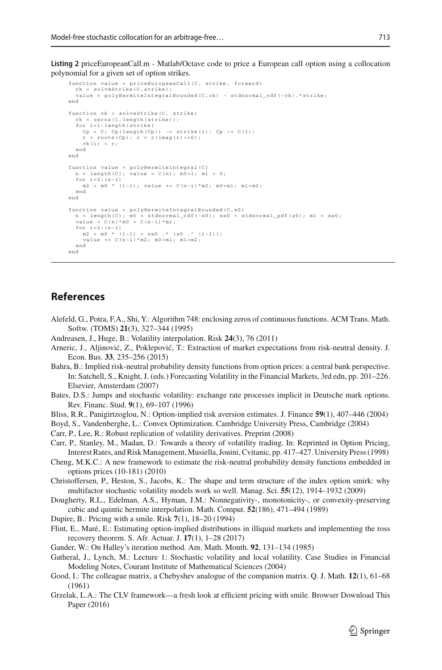**Listing 2** priceEuropeanCall.m - Matlab/Octave code to price a European call option using a collocation polynomial for a given set of option strikes.

```
function value = priceEuropeanCall(C, strike, forward)
  ck = solveStrike(C,strike);
  value = polyHermiteIntegralBounded(C,ck) - stdnormal_cdf(-ck).*strike;
end
function ck = solveStrike (C, strike)
ck = zeros(1,length(strike));
  for i=1:length(strike)
    Cp = C; Cp(length(Cp)) == strike(i); Cp /= C(1);r = \text{roots}(\text{Cp}); r = r(\text{imag}(r) == 0);
    ck(i) = r;
  end
end
function value = polyHermiteIntegral(C)
     = length(C); value = C(n); m0=1; m1 = 0;
  for i=2:(n-1)
m2 = m0 * (i-1); value += C(n-i)*m2; m0=m1; m1=m2;
  end
end
function value = polyHermiteIntegralBounded(C,x0)
  n = length(C); m0 = standard\_cdf(-x0); nx0 = standard\_pdf(x0); m1 = nx0;u = \text{length}(C); uv = \text{sumomial}<br>value = C(n)*m0 + C(n-1)*m1;
  for i=2:(n-1)m2 = m0 * (i-1) + nx0 .* (x0 .^ (i-1));
value += C(n-i)*m2; m0=m1; m1=m2;
  end
end
```
### **References**

- <span id="page-34-16"></span>Alefeld, G., Potra, F.A., Shi, Y.: Algorithm 748: enclosing zeros of continuous functions. ACM Trans. Math. Softw. (TOMS) **21**(3), 327–344 (1995)
- <span id="page-34-3"></span>Andreasen, J., Huge, B.: Volatility interpolation. Risk **24**(3), 76 (2011)
- <span id="page-34-13"></span>Arneric, J., Aljinović, Z., Poklepović, T.: Extraction of market expectations from risk-neutral density. J. Econ. Bus. **33**, 235–256 (2015)
- <span id="page-34-12"></span>Bahra, B.: Implied risk-neutral probability density functions from option prices: a central bank perspective. In: Satchell, S., Knight, J. (eds.) Forecasting Volatility in the Financial Markets, 3rd edn, pp. 201–226. Elsevier, Amsterdam (2007)
- <span id="page-34-8"></span>Bates, D.S.: Jumps and stochastic volatility: exchange rate processes implicit in Deutsche mark options. Rev. Financ. Stud. **9**(1), 69–107 (1996)
- <span id="page-34-11"></span>Bliss, R.R., Panigirtzoglou, N.: Option-implied risk aversion estimates. J. Finance **59**(1), 407–446 (2004)
- <span id="page-34-17"></span>Boyd, S., Vandenberghe, L.: Convex Optimization. Cambridge University Press, Cambridge (2004)
- <span id="page-34-1"></span>Carr, P., Lee, R.: Robust replication of volatility derivatives. Preprint (2008)
- <span id="page-34-0"></span>Carr, P., Stanley, M., Madan, D.: Towards a theory of volatility trading. In: Reprinted in Option Pricing, Interest Rates, and Risk Management, Musiella, Jouini, Cvitanic, pp. 417–427. University Press (1998)
- <span id="page-34-14"></span>Cheng, M.K.C.: A new framework to estimate the risk-neutral probability density functions embedded in options prices (10-181) (2010)
- <span id="page-34-9"></span>Christoffersen, P., Heston, S., Jacobs, K.: The shape and term structure of the index option smirk: why multifactor stochastic volatility models work so well. Manag. Sci. **55**(12), 1914–1932 (2009)
- <span id="page-34-15"></span>Dougherty, R.L., Edelman, A.S., Hyman, J.M.: Nonnegativity-, monotonicity-, or convexity-preserving cubic and quintic hermite interpolation. Math. Comput. **52**(186), 471–494 (1989)
- <span id="page-34-2"></span>Dupire, B.: Pricing with a smile. Risk **7**(1), 18–20 (1994)
- <span id="page-34-10"></span>Flint, E., Maré, E.: Estimating option-implied distributions in illiquid markets and implementing the ross recovery theorem. S. Afr. Actuar. J. **17**(1), 1–28 (2017)
- <span id="page-34-6"></span>Gander, W.: On Halley's iteration method. Am. Math. Month. **92**, 131–134 (1985)
- <span id="page-34-7"></span>Gatheral, J., Lynch, M.: Lecture 1: Stochastic volatility and local volatility. Case Studies in Financial Modeling Notes, Courant Institute of Mathematical Sciences (2004)
- <span id="page-34-5"></span>Good, I.: The colleague matrix, a Chebyshev analogue of the companion matrix. Q. J. Math. **12**(1), 61–68 (1961)
- <span id="page-34-4"></span>Grzelak, L.A.: The CLV framework—a fresh look at efficient pricing with smile. Browser Download This Paper (2016)